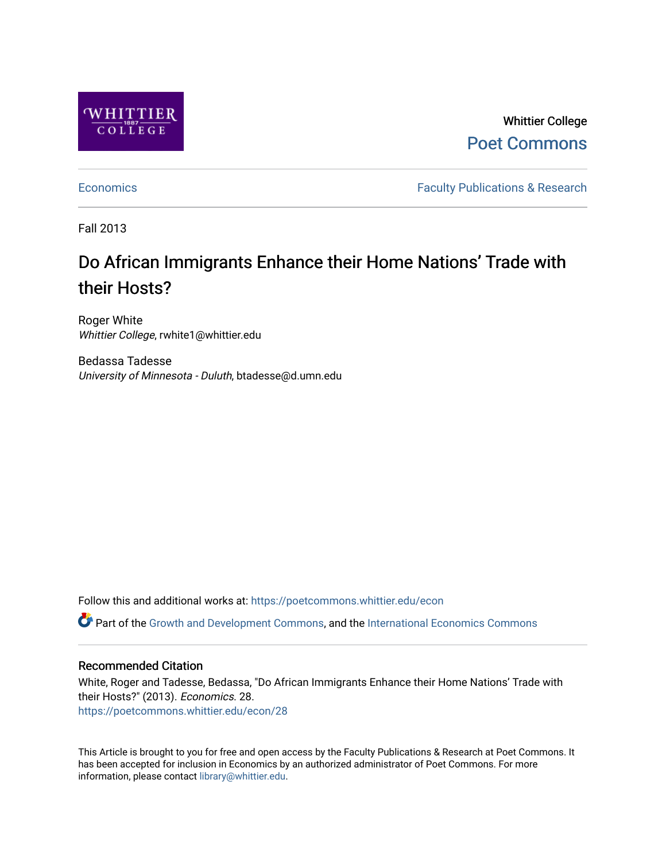

Whittier College [Poet Commons](https://poetcommons.whittier.edu/) 

[Economics](https://poetcommons.whittier.edu/econ) **Faculty Publications & Research** 

Fall 2013

# Do African Immigrants Enhance their Home Nations' Trade with their Hosts?

Roger White Whittier College, rwhite1@whittier.edu

Bedassa Tadesse University of Minnesota - Duluth, btadesse@d.umn.edu

Follow this and additional works at: [https://poetcommons.whittier.edu/econ](https://poetcommons.whittier.edu/econ?utm_source=poetcommons.whittier.edu%2Fecon%2F28&utm_medium=PDF&utm_campaign=PDFCoverPages)

Part of the [Growth and Development Commons,](http://network.bepress.com/hgg/discipline/346?utm_source=poetcommons.whittier.edu%2Fecon%2F28&utm_medium=PDF&utm_campaign=PDFCoverPages) and the [International Economics Commons](http://network.bepress.com/hgg/discipline/348?utm_source=poetcommons.whittier.edu%2Fecon%2F28&utm_medium=PDF&utm_campaign=PDFCoverPages)

### Recommended Citation

White, Roger and Tadesse, Bedassa, "Do African Immigrants Enhance their Home Nations' Trade with their Hosts?" (2013). Economics. 28. [https://poetcommons.whittier.edu/econ/28](https://poetcommons.whittier.edu/econ/28?utm_source=poetcommons.whittier.edu%2Fecon%2F28&utm_medium=PDF&utm_campaign=PDFCoverPages) 

This Article is brought to you for free and open access by the Faculty Publications & Research at Poet Commons. It has been accepted for inclusion in Economics by an authorized administrator of Poet Commons. For more information, please contact [library@whittier.edu.](mailto:library@whittier.edu)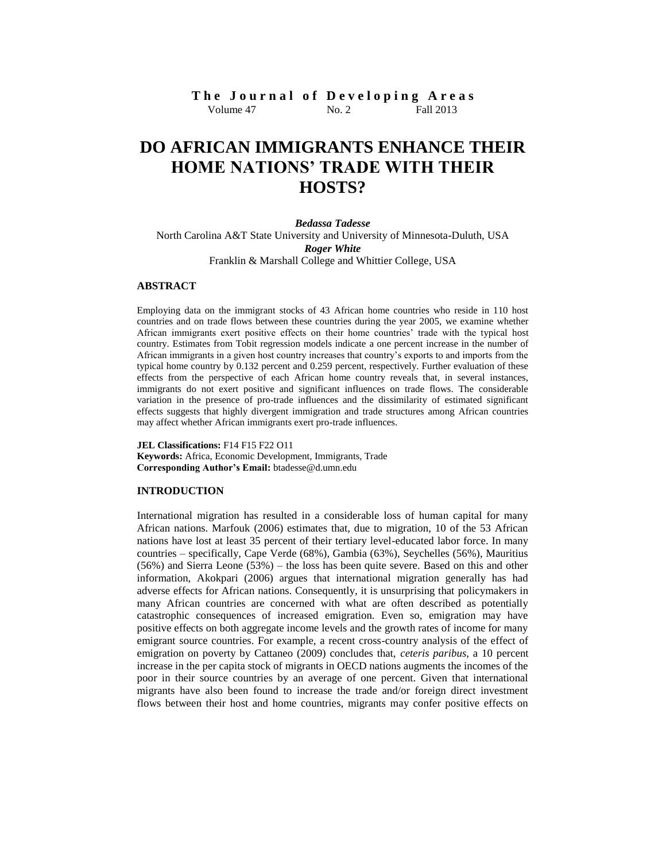#### The Journal of Developing Areas Volume 47 **No. 2** Fall 2013

## **DO AFRICAN IMMIGRANTS ENHANCE THEIR HOME NATIONS' TRADE WITH THEIR HOSTS?**

*Bedassa Tadesse* North Carolina A&T State University and University of Minnesota-Duluth, USA *Roger White* Franklin & Marshall College and Whittier College, USA

#### **ABSTRACT**

Employing data on the immigrant stocks of 43 African home countries who reside in 110 host countries and on trade flows between these countries during the year 2005, we examine whether African immigrants exert positive effects on their home countries' trade with the typical host country. Estimates from Tobit regression models indicate a one percent increase in the number of African immigrants in a given host country increases that country's exports to and imports from the typical home country by 0.132 percent and 0.259 percent, respectively. Further evaluation of these effects from the perspective of each African home country reveals that, in several instances, immigrants do not exert positive and significant influences on trade flows. The considerable variation in the presence of pro-trade influences and the dissimilarity of estimated significant effects suggests that highly divergent immigration and trade structures among African countries may affect whether African immigrants exert pro-trade influences.

**JEL Classifications:** F14 F15 F22 O11 **Keywords:** Africa, Economic Development, Immigrants, Trade **Corresponding Author's Email:** btadesse@d.umn.edu

#### **INTRODUCTION**

International migration has resulted in a considerable loss of human capital for many African nations. Marfouk (2006) estimates that, due to migration, 10 of the 53 African nations have lost at least 35 percent of their tertiary level-educated labor force. In many countries – specifically, Cape Verde (68%), Gambia (63%), Seychelles (56%), Mauritius (56%) and Sierra Leone (53%) – the loss has been quite severe. Based on this and other information, Akokpari (2006) argues that international migration generally has had adverse effects for African nations. Consequently, it is unsurprising that policymakers in many African countries are concerned with what are often described as potentially catastrophic consequences of increased emigration. Even so, emigration may have positive effects on both aggregate income levels and the growth rates of income for many emigrant source countries. For example, a recent cross-country analysis of the effect of emigration on poverty by Cattaneo (2009) concludes that, *ceteris paribus*, a 10 percent increase in the per capita stock of migrants in OECD nations augments the incomes of the poor in their source countries by an average of one percent. Given that international migrants have also been found to increase the trade and/or foreign direct investment flows between their host and home countries, migrants may confer positive effects on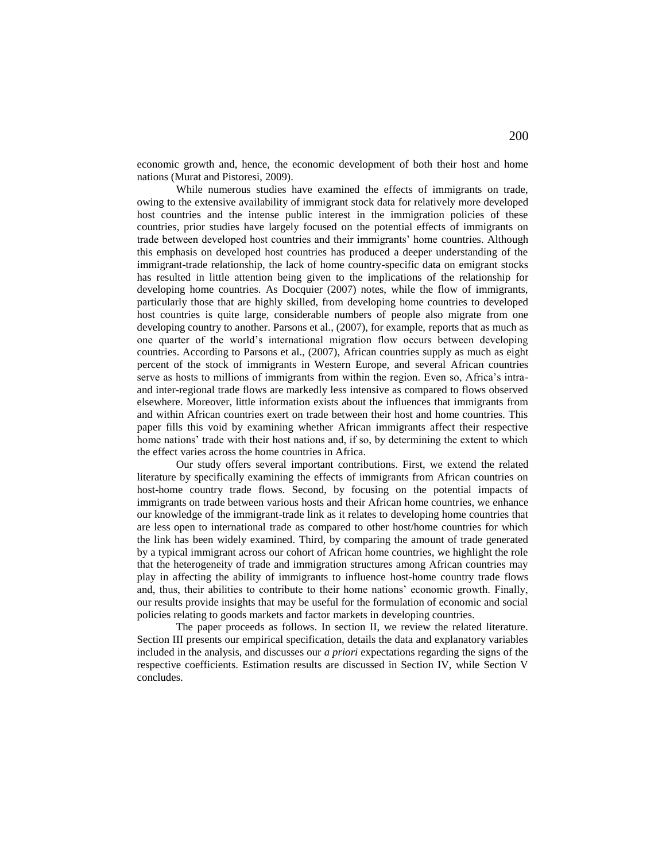economic growth and, hence, the economic development of both their host and home nations (Murat and Pistoresi, 2009).

While numerous studies have examined the effects of immigrants on trade, owing to the extensive availability of immigrant stock data for relatively more developed host countries and the intense public interest in the immigration policies of these countries, prior studies have largely focused on the potential effects of immigrants on trade between developed host countries and their immigrants' home countries. Although this emphasis on developed host countries has produced a deeper understanding of the immigrant-trade relationship, the lack of home country-specific data on emigrant stocks has resulted in little attention being given to the implications of the relationship for developing home countries. As Docquier (2007) notes, while the flow of immigrants, particularly those that are highly skilled, from developing home countries to developed host countries is quite large, considerable numbers of people also migrate from one developing country to another. Parsons et al., (2007), for example, reports that as much as one quarter of the world's international migration flow occurs between developing countries. According to Parsons et al., (2007), African countries supply as much as eight percent of the stock of immigrants in Western Europe, and several African countries serve as hosts to millions of immigrants from within the region. Even so, Africa's intraand inter-regional trade flows are markedly less intensive as compared to flows observed elsewhere. Moreover, little information exists about the influences that immigrants from and within African countries exert on trade between their host and home countries. This paper fills this void by examining whether African immigrants affect their respective home nations' trade with their host nations and, if so, by determining the extent to which the effect varies across the home countries in Africa.

Our study offers several important contributions. First, we extend the related literature by specifically examining the effects of immigrants from African countries on host-home country trade flows. Second, by focusing on the potential impacts of immigrants on trade between various hosts and their African home countries, we enhance our knowledge of the immigrant-trade link as it relates to developing home countries that are less open to international trade as compared to other host/home countries for which the link has been widely examined. Third, by comparing the amount of trade generated by a typical immigrant across our cohort of African home countries, we highlight the role that the heterogeneity of trade and immigration structures among African countries may play in affecting the ability of immigrants to influence host-home country trade flows and, thus, their abilities to contribute to their home nations' economic growth. Finally, our results provide insights that may be useful for the formulation of economic and social policies relating to goods markets and factor markets in developing countries.

The paper proceeds as follows. In section II, we review the related literature. Section III presents our empirical specification, details the data and explanatory variables included in the analysis, and discusses our *a priori* expectations regarding the signs of the respective coefficients. Estimation results are discussed in Section IV, while Section V concludes.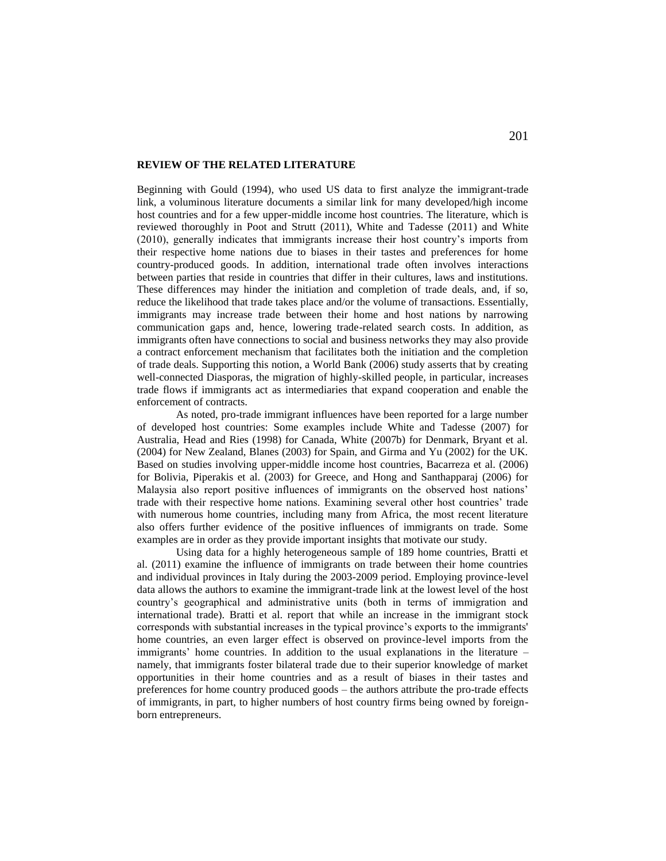#### **REVIEW OF THE RELATED LITERATURE**

Beginning with Gould (1994), who used US data to first analyze the immigrant-trade link, a voluminous literature documents a similar link for many developed/high income host countries and for a few upper-middle income host countries. The literature, which is reviewed thoroughly in Poot and Strutt (2011), White and Tadesse (2011) and White (2010), generally indicates that immigrants increase their host country's imports from their respective home nations due to biases in their tastes and preferences for home country-produced goods. In addition, international trade often involves interactions between parties that reside in countries that differ in their cultures, laws and institutions. These differences may hinder the initiation and completion of trade deals, and, if so, reduce the likelihood that trade takes place and/or the volume of transactions. Essentially, immigrants may increase trade between their home and host nations by narrowing communication gaps and, hence, lowering trade-related search costs. In addition, as immigrants often have connections to social and business networks they may also provide a contract enforcement mechanism that facilitates both the initiation and the completion of trade deals. Supporting this notion, a World Bank (2006) study asserts that by creating well-connected Diasporas, the migration of highly-skilled people, in particular, increases trade flows if immigrants act as intermediaries that expand cooperation and enable the enforcement of contracts.

As noted, pro-trade immigrant influences have been reported for a large number of developed host countries: Some examples include White and Tadesse (2007) for Australia, Head and Ries (1998) for Canada, White (2007b) for Denmark, Bryant et al. (2004) for New Zealand, Blanes (2003) for Spain, and Girma and Yu (2002) for the UK. Based on studies involving upper-middle income host countries, Bacarreza et al. (2006) for Bolivia, Piperakis et al. (2003) for Greece, and Hong and Santhapparaj (2006) for Malaysia also report positive influences of immigrants on the observed host nations' trade with their respective home nations. Examining several other host countries' trade with numerous home countries, including many from Africa, the most recent literature also offers further evidence of the positive influences of immigrants on trade. Some examples are in order as they provide important insights that motivate our study.

Using data for a highly heterogeneous sample of 189 home countries, Bratti et al. (2011) examine the influence of immigrants on trade between their home countries and individual provinces in Italy during the 2003-2009 period. Employing province-level data allows the authors to examine the immigrant-trade link at the lowest level of the host country's geographical and administrative units (both in terms of immigration and international trade). Bratti et al. report that while an increase in the immigrant stock corresponds with substantial increases in the typical province's exports to the immigrants' home countries, an even larger effect is observed on province-level imports from the immigrants' home countries. In addition to the usual explanations in the literature – namely, that immigrants foster bilateral trade due to their superior knowledge of market opportunities in their home countries and as a result of biases in their tastes and preferences for home country produced goods – the authors attribute the pro-trade effects of immigrants, in part, to higher numbers of host country firms being owned by foreignborn entrepreneurs.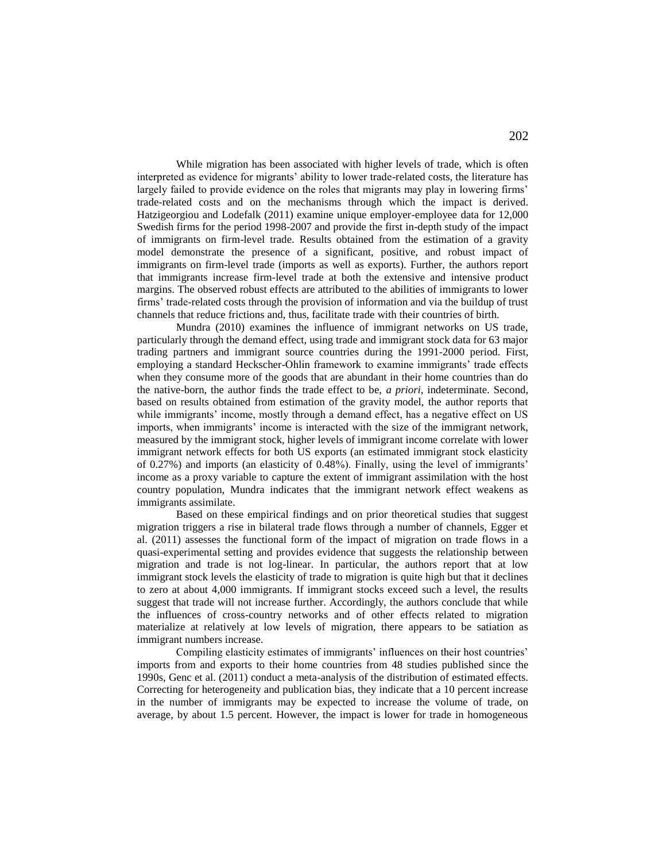While migration has been associated with higher levels of trade, which is often interpreted as evidence for migrants' ability to lower trade-related costs, the literature has largely failed to provide evidence on the roles that migrants may play in lowering firms' trade-related costs and on the mechanisms through which the impact is derived. Hatzigeorgiou and Lodefalk (2011) examine unique employer-employee data for 12,000 Swedish firms for the period 1998-2007 and provide the first in-depth study of the impact of immigrants on firm-level trade. Results obtained from the estimation of a gravity model demonstrate the presence of a significant, positive, and robust impact of immigrants on firm-level trade (imports as well as exports). Further, the authors report that immigrants increase firm-level trade at both the extensive and intensive product margins. The observed robust effects are attributed to the abilities of immigrants to lower firms' trade-related costs through the provision of information and via the buildup of trust channels that reduce frictions and, thus, facilitate trade with their countries of birth.

Mundra (2010) examines the influence of immigrant networks on US trade, particularly through the demand effect, using trade and immigrant stock data for 63 major trading partners and immigrant source countries during the 1991-2000 period. First, employing a standard Heckscher-Ohlin framework to examine immigrants' trade effects when they consume more of the goods that are abundant in their home countries than do the native-born, the author finds the trade effect to be, *a priori*, indeterminate. Second, based on results obtained from estimation of the gravity model, the author reports that while immigrants' income, mostly through a demand effect, has a negative effect on US imports, when immigrants' income is interacted with the size of the immigrant network, measured by the immigrant stock, higher levels of immigrant income correlate with lower immigrant network effects for both US exports (an estimated immigrant stock elasticity of 0.27%) and imports (an elasticity of 0.48%). Finally, using the level of immigrants' income as a proxy variable to capture the extent of immigrant assimilation with the host country population, Mundra indicates that the immigrant network effect weakens as immigrants assimilate.

Based on these empirical findings and on prior theoretical studies that suggest migration triggers a rise in bilateral trade flows through a number of channels, Egger et al. (2011) assesses the functional form of the impact of migration on trade flows in a quasi-experimental setting and provides evidence that suggests the relationship between migration and trade is not log-linear. In particular, the authors report that at low immigrant stock levels the elasticity of trade to migration is quite high but that it declines to zero at about 4,000 immigrants. If immigrant stocks exceed such a level, the results suggest that trade will not increase further. Accordingly, the authors conclude that while the influences of cross-country networks and of other effects related to migration materialize at relatively at low levels of migration, there appears to be satiation as immigrant numbers increase.

Compiling elasticity estimates of immigrants' influences on their host countries' imports from and exports to their home countries from 48 studies published since the 1990s, Genc et al. (2011) conduct a meta-analysis of the distribution of estimated effects. Correcting for heterogeneity and publication bias, they indicate that a 10 percent increase in the number of immigrants may be expected to increase the volume of trade, on average, by about 1.5 percent. However, the impact is lower for trade in homogeneous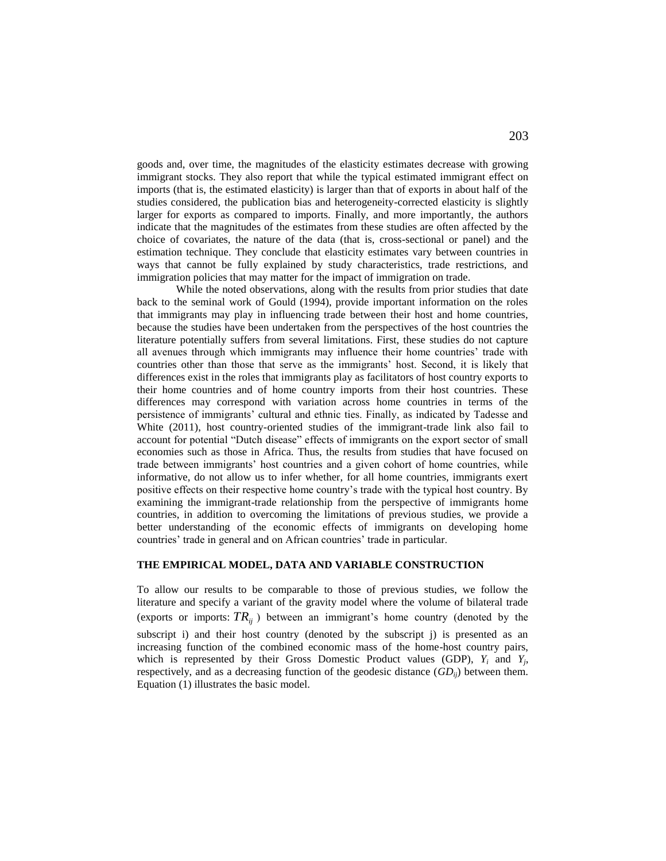goods and, over time, the magnitudes of the elasticity estimates decrease with growing immigrant stocks. They also report that while the typical estimated immigrant effect on imports (that is, the estimated elasticity) is larger than that of exports in about half of the studies considered, the publication bias and heterogeneity-corrected elasticity is slightly larger for exports as compared to imports. Finally, and more importantly, the authors indicate that the magnitudes of the estimates from these studies are often affected by the choice of covariates, the nature of the data (that is, cross-sectional or panel) and the estimation technique. They conclude that elasticity estimates vary between countries in ways that cannot be fully explained by study characteristics, trade restrictions, and immigration policies that may matter for the impact of immigration on trade.

While the noted observations, along with the results from prior studies that date back to the seminal work of Gould (1994), provide important information on the roles that immigrants may play in influencing trade between their host and home countries, because the studies have been undertaken from the perspectives of the host countries the literature potentially suffers from several limitations. First, these studies do not capture all avenues through which immigrants may influence their home countries' trade with countries other than those that serve as the immigrants' host. Second, it is likely that differences exist in the roles that immigrants play as facilitators of host country exports to their home countries and of home country imports from their host countries. These differences may correspond with variation across home countries in terms of the persistence of immigrants' cultural and ethnic ties. Finally, as indicated by Tadesse and White (2011), host country-oriented studies of the immigrant-trade link also fail to account for potential "Dutch disease" effects of immigrants on the export sector of small economies such as those in Africa. Thus, the results from studies that have focused on trade between immigrants' host countries and a given cohort of home countries, while informative, do not allow us to infer whether, for all home countries, immigrants exert positive effects on their respective home country's trade with the typical host country. By examining the immigrant-trade relationship from the perspective of immigrants home countries, in addition to overcoming the limitations of previous studies, we provide a better understanding of the economic effects of immigrants on developing home countries' trade in general and on African countries' trade in particular.

#### **THE EMPIRICAL MODEL, DATA AND VARIABLE CONSTRUCTION**

To allow our results to be comparable to those of previous studies, we follow the literature and specify a variant of the gravity model where the volume of bilateral trade (exports or imports:  $TR_{ij}$ ) between an immigrant's home country (denoted by the subscript i) and their host country (denoted by the subscript j) is presented as an increasing function of the combined economic mass of the home-host country pairs, which is represented by their Gross Domestic Product values (GDP),  $Y_i$  and  $Y_j$ , respectively, and as a decreasing function of the geodesic distance (*GDij*) between them. Equation (1) illustrates the basic model.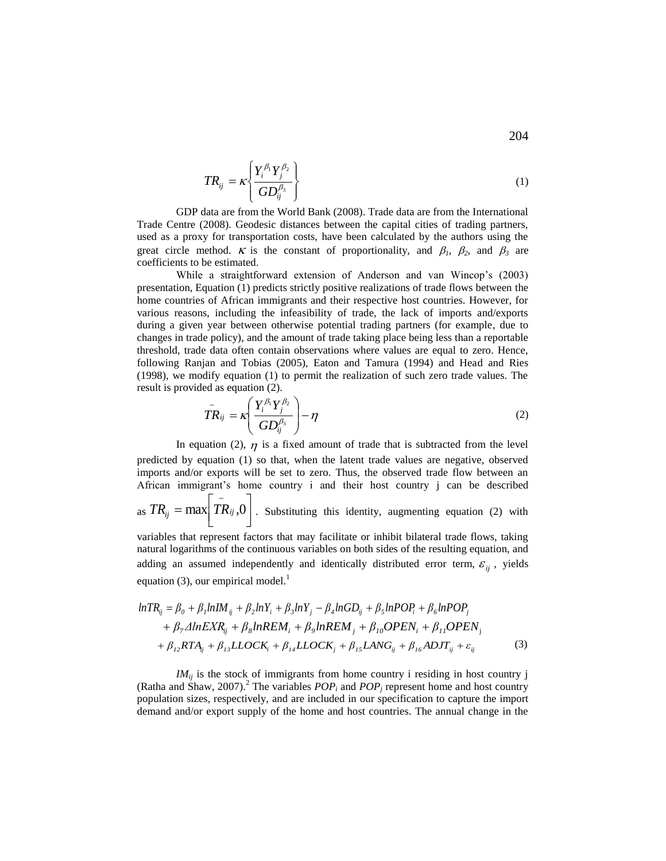$$
TR_{ij} = \kappa \left\{ \frac{Y_i^{\beta_1} Y_j^{\beta_2}}{GD_{ij}^{\beta_3}} \right\}
$$
 (1)

GDP data are from the World Bank (2008). Trade data are from the International Trade Centre (2008). Geodesic distances between the capital cities of trading partners, used as a proxy for transportation costs, have been calculated by the authors using the great circle method. *K* is the constant of proportionality, and  $\beta_1$ ,  $\beta_2$ , and  $\beta_3$  are coefficients to be estimated.

While a straightforward extension of Anderson and van Wincop's (2003) presentation, Equation (1) predicts strictly positive realizations of trade flows between the home countries of African immigrants and their respective host countries. However, for various reasons, including the infeasibility of trade, the lack of imports and/exports during a given year between otherwise potential trading partners (for example, due to changes in trade policy), and the amount of trade taking place being less than a reportable threshold, trade data often contain observations where values are equal to zero. Hence, following Ranjan and Tobias (2005), Eaton and Tamura (1994) and Head and Ries (1998), we modify equation (1) to permit the realization of such zero trade values. The result is provided as equation (2).

$$
\tilde{T}R_{ij} = \kappa \left( \frac{Y_i^{\beta_1} Y_j^{\beta_2}}{GD_{ij}^{\beta_3}} \right) - \eta \tag{2}
$$

In equation (2),  $\eta$  is a fixed amount of trade that is subtracted from the level predicted by equation (1) so that, when the latent trade values are negative, observed imports and/or exports will be set to zero. Thus, the observed trade flow between an African immigrant's home country i and their host country j can be described

as  $TR_{ij} = \max[TR_{ij}, 0]$  $\overline{\phantom{a}}$ L  $TR_{ij} = \max \left| T\tilde{R}_{ij}, 0 \right|$ . Substituting this identity, augmenting equation (2) with

variables that represent factors that may facilitate or inhibit bilateral trade flows, taking natural logarithms of the continuous variables on both sides of the resulting equation, and adding an assumed independently and identically distributed error term,  $\varepsilon_{ij}$ , yields equation (3), our empirical model.<sup>1</sup>

$$
lnTR_{ij} = \beta_0 + \beta_1 lnIM_{ij} + \beta_2 lnY_i + \beta_3 lnY_j - \beta_4 lnGD_{ij} + \beta_5 lnPOP_i + \beta_6 lnPOP_j
$$
  
+  $\beta_7$   $\Delta lnEXR_{ij} + \beta_8 lnREM_i + \beta_9 lnREM_j + \beta_{10} OPEN_i + \beta_{11} OPEN_j$   
+  $\beta_{12} RTA_{ij} + \beta_{13} LLOCK_i + \beta_{14} LLOCK_j + \beta_{15} LANG_{ij} + \beta_{16} ADJT_{ij} + \varepsilon_{ij}$  (3)

 $IM_{ij}$  is the stock of immigrants from home country i residing in host country j (Ratha and Shaw, 2007).<sup>2</sup> The variables  $POP_i$  and  $POP_j$  represent home and host country population sizes, respectively, and are included in our specification to capture the import demand and/or export supply of the home and host countries. The annual change in the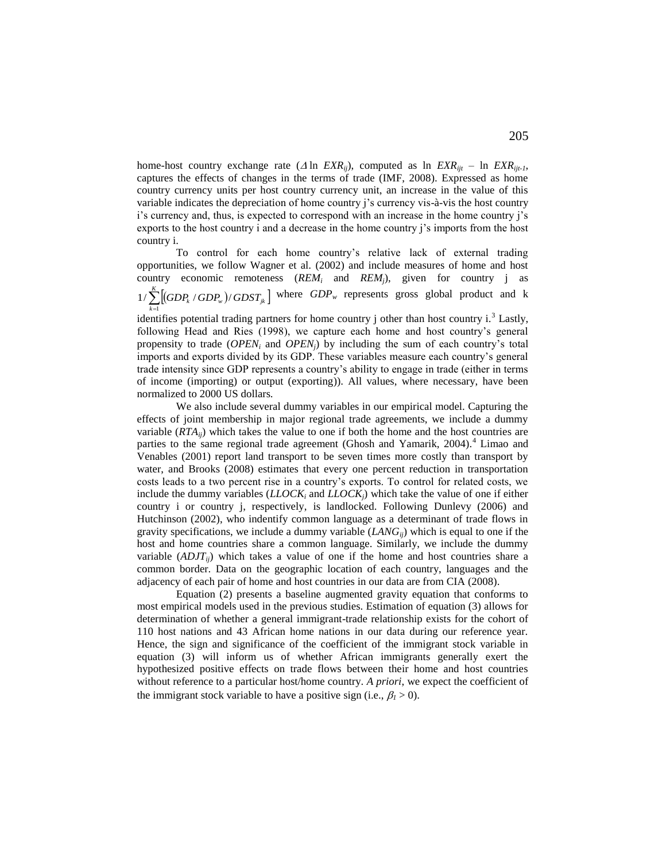home-host country exchange rate ( $\Delta \ln EXR_{ij}$ ), computed as  $\ln EXR_{ijt} - \ln EXR_{ijt-1}$ , captures the effects of changes in the terms of trade (IMF, 2008). Expressed as home country currency units per host country currency unit, an increase in the value of this variable indicates the depreciation of home country j's currency vis-à-vis the host country i's currency and, thus, is expected to correspond with an increase in the home country j's exports to the host country i and a decrease in the home country j's imports from the host country i.

To control for each home country's relative lack of external trading opportunities, we follow Wagner et al. (2002) and include measures of home and host country economic remoteness (*REM<sup>i</sup>* and *REMj*), given for country j as  $\sum_{k=1}^{\infty} \bigl[ (GDP_{_{k}}/GDP_{_{\mathcal{W}}})/GDST_{_{jk}} \bigr]$ *K*  $\sum_{k=1}$  [(GDP<sub>k</sub> / GDP<sub>w</sub>)/ GDST<sub>jk</sub>  $1/\sum_{\mu}^{\infty} [(GDP_{k}/GDP_{w})/GDST_{ik}]$  where  $GDP_{w}$  represents gross global product and k

identifies potential trading partners for home country j other than host country  $i^3$  Lastly, following Head and Ries (1998), we capture each home and host country's general propensity to trade (*OPEN<sup>i</sup>* and *OPENj*) by including the sum of each country's total imports and exports divided by its GDP. These variables measure each country's general trade intensity since GDP represents a country's ability to engage in trade (either in terms of income (importing) or output (exporting)). All values, where necessary, have been normalized to 2000 US dollars.

We also include several dummy variables in our empirical model. Capturing the effects of joint membership in major regional trade agreements, we include a dummy variable  $(RTA_{ii})$  which takes the value to one if both the home and the host countries are parties to the same regional trade agreement (Ghosh and Yamarik, 2004).<sup>4</sup> Limao and Venables (2001) report land transport to be seven times more costly than transport by water, and Brooks (2008) estimates that every one percent reduction in transportation costs leads to a two percent rise in a country's exports. To control for related costs, we include the dummy variables (*LLOCK<sup>i</sup>* and *LLOCKj*) which take the value of one if either country i or country j, respectively, is landlocked. Following Dunlevy (2006) and Hutchinson (2002), who indentify common language as a determinant of trade flows in gravity specifications, we include a dummy variable (*LANGij*) which is equal to one if the host and home countries share a common language. Similarly, we include the dummy variable  $(ADJT_{ij})$  which takes a value of one if the home and host countries share a common border. Data on the geographic location of each country, languages and the adjacency of each pair of home and host countries in our data are from CIA (2008).

Equation (2) presents a baseline augmented gravity equation that conforms to most empirical models used in the previous studies. Estimation of equation (3) allows for determination of whether a general immigrant-trade relationship exists for the cohort of 110 host nations and 43 African home nations in our data during our reference year. Hence, the sign and significance of the coefficient of the immigrant stock variable in equation (3) will inform us of whether African immigrants generally exert the hypothesized positive effects on trade flows between their home and host countries without reference to a particular host/home country. *A priori*, we expect the coefficient of the immigrant stock variable to have a positive sign (i.e.,  $\beta_l > 0$ ).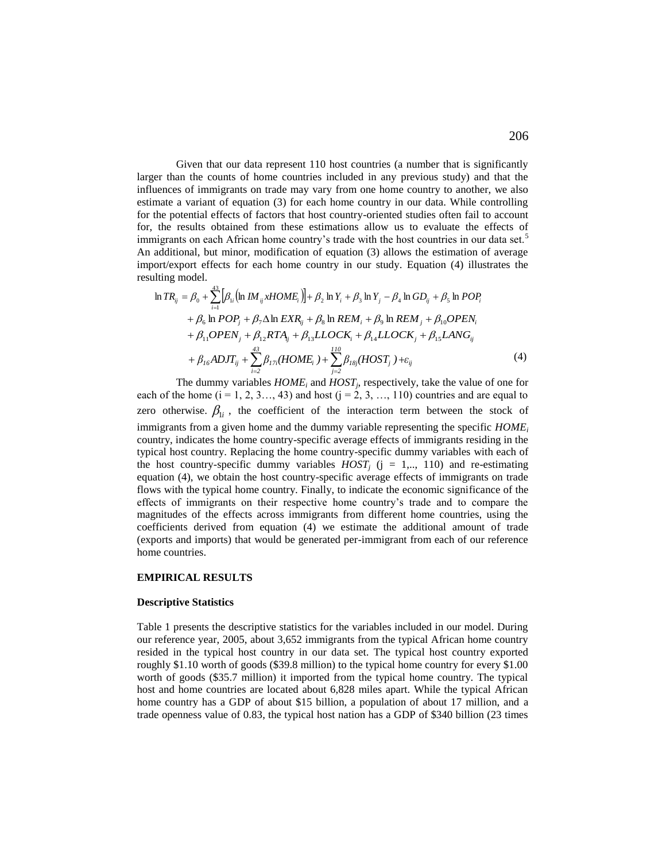Given that our data represent 110 host countries (a number that is significantly larger than the counts of home countries included in any previous study) and that the influences of immigrants on trade may vary from one home country to another, we also estimate a variant of equation (3) for each home country in our data. While controlling for the potential effects of factors that host country-oriented studies often fail to account for, the results obtained from these estimations allow us to evaluate the effects of immigrants on each African home country's trade with the host countries in our data set.<sup>5</sup> An additional, but minor, modification of equation (3) allows the estimation of average import/export effects for each home country in our study. Equation (4) illustrates the resulting model.<br>  $\ln T P = \rho + \frac{43}{2} [\rho (\ln M \cdot HOME)] + \rho \ln Y + \rho \ln Y - \rho \ln CD + \rho \ln DQ$ resulting model.

$$
\ln TR_{ij} = \beta_0 + \sum_{i=1}^{43} [\beta_{ii} (\ln IM_{ij}xHOME_i)] + \beta_2 \ln Y_i + \beta_3 \ln Y_j - \beta_4 \ln GD_{ij} + \beta_5 \ln POP_i + \beta_6 \ln POP_j + \beta_7 \Delta \ln EXP_{ij} + \beta_8 \ln REM_i + \beta_9 \ln REM_j + \beta_{10} OPEN_i + \beta_{11} OPEN_j + \beta_{12} RTA_{ij} + \beta_{13} LLOCK_i + \beta_{14} LLOCK_j + \beta_{15} LANG_{ij} + \beta_{16} ADJT_{ij} + \sum_{i=2}^{43} \beta_{17i} (HOME_i) + \sum_{j=2}^{110} \beta_{18j} (HOST_j) + \epsilon_{ij}
$$
(4)

The dummy variables *HOME<sup>i</sup>* and *HOST<sup>j</sup>* , respectively, take the value of one for each of the home  $(i = 1, 2, 3..., 43)$  and host  $(j = 2, 3, ..., 110)$  countries and are equal to zero otherwise.  $\beta_{1i}$ , the coefficient of the interaction term between the stock of immigrants from a given home and the dummy variable representing the specific *HOME<sup>i</sup>* country, indicates the home country-specific average effects of immigrants residing in the typical host country. Replacing the home country-specific dummy variables with each of the host country-specific dummy variables  $HOST_i$  (j = 1,.., 110) and re-estimating equation (4), we obtain the host country-specific average effects of immigrants on trade flows with the typical home country. Finally, to indicate the economic significance of the effects of immigrants on their respective home country's trade and to compare the magnitudes of the effects across immigrants from different home countries, using the coefficients derived from equation (4) we estimate the additional amount of trade (exports and imports) that would be generated per-immigrant from each of our reference home countries.

#### **EMPIRICAL RESULTS**

#### **Descriptive Statistics**

Table 1 presents the descriptive statistics for the variables included in our model. During our reference year, 2005, about 3,652 immigrants from the typical African home country resided in the typical host country in our data set. The typical host country exported roughly \$1.10 worth of goods (\$39.8 million) to the typical home country for every \$1.00 worth of goods (\$35.7 million) it imported from the typical home country. The typical host and home countries are located about 6,828 miles apart. While the typical African home country has a GDP of about \$15 billion, a population of about 17 million, and a trade openness value of 0.83, the typical host nation has a GDP of \$340 billion (23 times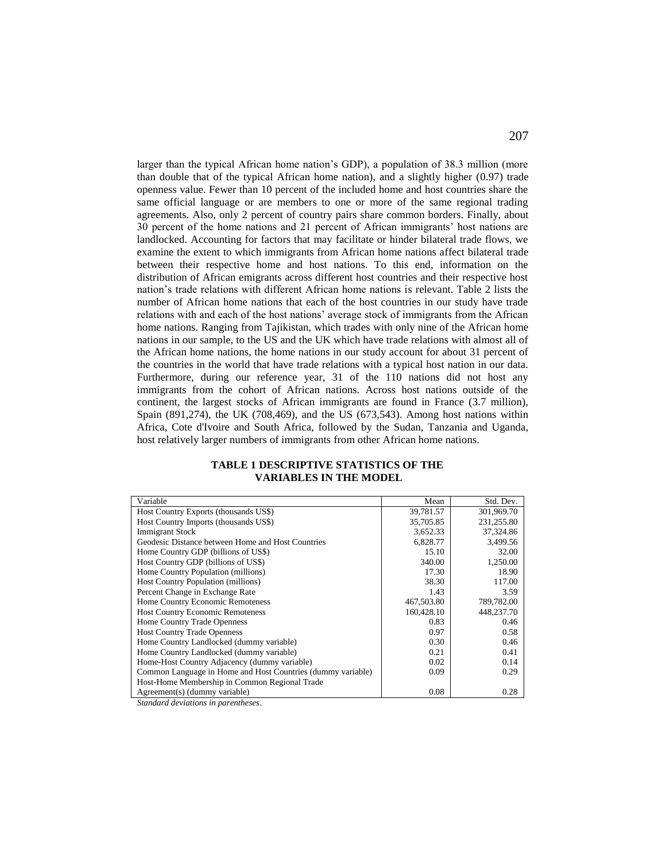larger than the typical African home nation's GDP), a population of 38.3 million (more than double that of the typical African home nation), and a slightly higher (0.97) trade openness value. Fewer than 10 percent of the included home and host countries share the same official language or are members to one or more of the same regional trading agreements. Also, only 2 percent of country pairs share common borders. Finally, about 30 percent of the home nations and 21 percent of African immigrants' host nations are landlocked. Accounting for factors that may facilitate or hinder bilateral trade flows, we examine the extent to which immigrants from African home nations affect bilateral trade between their respective home and host nations. To this end, information on the distribution of African emigrants across different host countries and their respective host nation's trade relations with different African home nations is relevant. Table 2 lists the number of African home nations that each of the host countries in our study have trade relations with and each of the host nations' average stock of immigrants from the African home nations. Ranging from Tajikistan, which trades with only nine of the African home nations in our sample, to the US and the UK which have trade relations with almost all of the African home nations, the home nations in our study account for about 31 percent of the countries in the world that have trade relations with a typical host nation in our data. Furthermore, during our reference year, 31 of the 110 nations did not host any immigrants from the cohort of African nations. Across host nations outside of the continent, the largest stocks of African immigrants are found in France (3.7 million), Spain (891,274), the UK (708,469), and the US (673,543). Among host nations within Africa, Cote d'Ivoire and South Africa, followed by the Sudan, Tanzania and Uganda, host relatively larger numbers of immigrants from other African home nations.

#### **TABLE 1 DESCRIPTIVE STATISTICS OF THE VARIABLES IN THE MODEL**

| Variable                                                    | Mean       | Std. Dev.  |
|-------------------------------------------------------------|------------|------------|
| Host Country Exports (thousands US\$)                       | 39,781.57  | 301,969.70 |
| Host Country Imports (thousands US\$)                       | 35,705.85  | 231,255.80 |
| <b>Immigrant Stock</b>                                      | 3,652.33   | 37,324.86  |
| Geodesic Distance between Home and Host Countries           | 6,828.77   | 3,499.56   |
| Home Country GDP (billions of US\$)                         | 15.10      | 32.00      |
| Host Country GDP (billions of US\$)                         | 340.00     | 1,250.00   |
| Home Country Population (millions)                          | 17.30      | 18.90      |
| <b>Host Country Population (millions)</b>                   | 38.30      | 117.00     |
| Percent Change in Exchange Rate                             | 1.43       | 3.59       |
| Home Country Economic Remoteness                            | 467,503.80 | 789.782.00 |
| <b>Host Country Economic Remoteness</b>                     | 160,428.10 | 448,237.70 |
| Home Country Trade Openness                                 | 0.83       | 0.46       |
| <b>Host Country Trade Openness</b>                          | 0.97       | 0.58       |
| Home Country Landlocked (dummy variable)                    | 0.30       | 0.46       |
| Home Country Landlocked (dummy variable)                    | 0.21       | 0.41       |
| Home-Host Country Adjacency (dummy variable)                | 0.02       | 0.14       |
| Common Language in Home and Host Countries (dummy variable) | 0.09       | 0.29       |
| Host-Home Membership in Common Regional Trade               |            |            |
| Agreement(s) (dummy variable)                               | 0.08       | 0.28       |

*Standard deviations in parentheses*.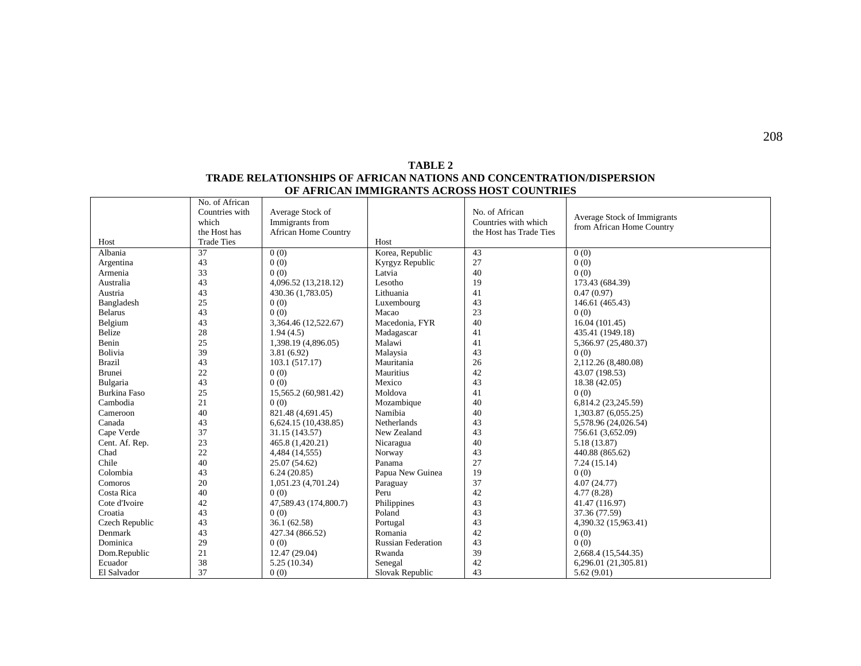| TABLE 2                                                                    |
|----------------------------------------------------------------------------|
| <b>TRADE RELATIONSHIPS OF AFRICAN NATIONS AND CONCENTRATION/DISPERSION</b> |
| OF AFRICAN IMMIGRANTS ACROSS HOST COUNTRIES                                |

|                     | No. of African    |                             |                           |                         |                                                          |
|---------------------|-------------------|-----------------------------|---------------------------|-------------------------|----------------------------------------------------------|
|                     | Countries with    | Average Stock of            |                           | No. of African          |                                                          |
|                     | which             | Immigrants from             |                           | Countries with which    | Average Stock of Immigrants<br>from African Home Country |
|                     | the Host has      | <b>African Home Country</b> |                           | the Host has Trade Ties |                                                          |
| Host                | <b>Trade Ties</b> |                             | Host                      |                         |                                                          |
| Albania             | 37                | 0(0)                        | Korea, Republic           | 43                      | 0(0)                                                     |
| Argentina           | 43                | 0(0)                        | Kyrgyz Republic           | 27                      | 0(0)                                                     |
| Armenia             | 33                | 0(0)                        | Latvia                    | $40\,$                  | 0(0)                                                     |
| Australia           | 43                | 4,096.52 (13,218.12)        | Lesotho                   | 19                      | 173.43 (684.39)                                          |
| Austria             | 43                | 430.36 (1,783.05)           | Lithuania                 | 41                      | 0.47(0.97)                                               |
| Bangladesh          | 25                | 0(0)                        | Luxembourg                | 43                      | 146.61 (465.43)                                          |
| <b>Belarus</b>      | 43                | 0(0)                        | Macao                     | 23                      | 0(0)                                                     |
| Belgium             | 43                | 3,364.46 (12,522.67)        | Macedonia, FYR            | 40                      | 16.04 (101.45)                                           |
| <b>Belize</b>       | $28\,$            | 1.94(4.5)                   | Madagascar                | 41                      | 435.41 (1949.18)                                         |
| Benin               | 25                | 1,398.19 (4,896.05)         | Malawi                    | 41                      | 5,366.97 (25,480.37)                                     |
| Bolivia             | 39                | 3.81(6.92)                  | Malaysia                  | 43                      | 0(0)                                                     |
| <b>Brazil</b>       | 43                | 103.1 (517.17)              | Mauritania                | 26                      | 2,112.26 (8,480.08)                                      |
| <b>Brunei</b>       | $22\,$            | 0(0)                        | Mauritius                 | 42                      | 43.07 (198.53)                                           |
| Bulgaria            | 43                | 0(0)                        | Mexico                    | 43                      | 18.38 (42.05)                                            |
| <b>Burkina Faso</b> | 25                | 15,565.2 (60,981.42)        | Moldova                   | 41                      | 0(0)                                                     |
| Cambodia            | 21                | 0(0)                        | Mozambique                | 40                      | 6,814.2 (23,245.59)                                      |
| Cameroon            | $40\,$            | 821.48 (4,691.45)           | Namibia                   | 40                      | 1,303.87 (6,055.25)                                      |
| Canada              | 43                | 6,624.15 (10,438.85)        | Netherlands               | 43                      | 5,578.96 (24,026.54)                                     |
| Cape Verde          | 37                | 31.15 (143.57)              | New Zealand               | 43                      | 756.61 (3,652.09)                                        |
| Cent. Af. Rep.      | 23                | 465.8 (1,420.21)            | Nicaragua                 | 40                      | 5.18 (13.87)                                             |
| Chad                | 22                | 4,484 (14,555)              | Norway                    | 43                      | 440.88 (865.62)                                          |
| Chile               | 40                | 25.07 (54.62)               | Panama                    | 27                      | 7.24(15.14)                                              |
| Colombia            | 43                | 6.24(20.85)                 | Papua New Guinea          | 19                      | 0(0)                                                     |
| Comoros             | 20                | 1,051.23 (4,701.24)         | Paraguay                  | 37                      | 4.07(24.77)                                              |
| Costa Rica          | 40                | 0(0)                        | Peru                      | 42                      | 4.77(8.28)                                               |
| Cote d'Ivoire       | 42                | 47,589.43 (174,800.7)       | Philippines               | 43                      | 41.47 (116.97)                                           |
| Croatia             | 43                | 0(0)                        | Poland                    | 43                      | 37.36 (77.59)                                            |
| Czech Republic      | 43                | 36.1(62.58)                 | Portugal                  | 43                      | 4,390.32 (15,963.41)                                     |
| Denmark             | 43                | 427.34 (866.52)             | Romania                   | 42                      | 0(0)                                                     |
| Dominica            | 29                | 0(0)                        | <b>Russian Federation</b> | 43                      | 0(0)                                                     |
| Dom.Republic        | 21                | 12.47 (29.04)               | Rwanda                    | 39                      | 2,668.4 (15,544.35)                                      |
| Ecuador             | 38                | 5.25(10.34)                 | Senegal                   | 42                      | 6,296.01 (21,305.81)                                     |
| El Salvador         | 37                | 0(0)                        | Slovak Republic           | 43                      | 5.62(9.01)                                               |

208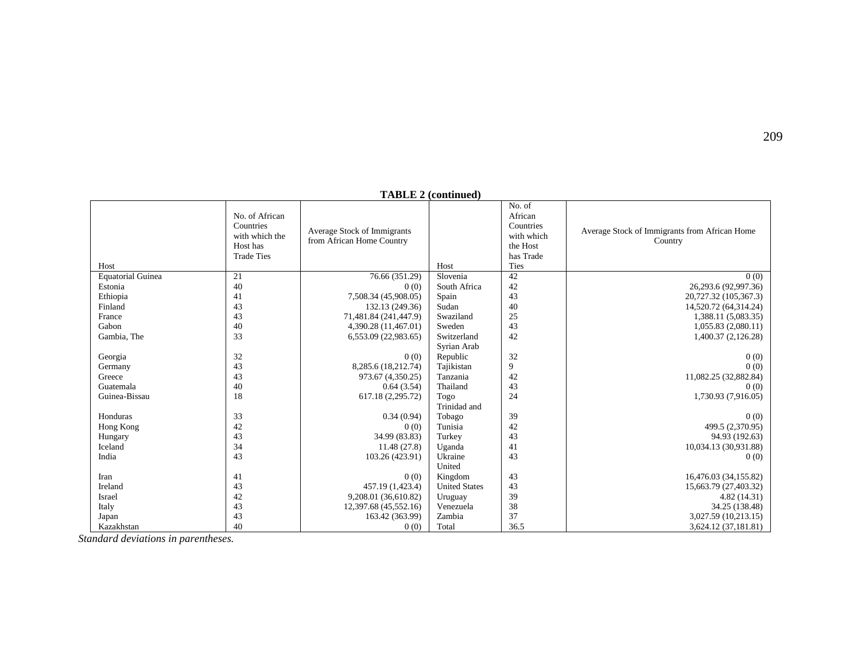| Host                     | No. of African<br>Countries<br>with which the<br>Host has<br><b>Trade Ties</b> | Average Stock of Immigrants<br>from African Home Country | Host                 | $\overline{No}$ . of<br>African<br>Countries<br>with which<br>the Host<br>has Trade<br><b>Ties</b> | Average Stock of Immigrants from African Home<br>Country |
|--------------------------|--------------------------------------------------------------------------------|----------------------------------------------------------|----------------------|----------------------------------------------------------------------------------------------------|----------------------------------------------------------|
| <b>Equatorial Guinea</b> | 21                                                                             | 76.66 (351.29)                                           | Slovenia             | 42                                                                                                 | 0(0)                                                     |
| Estonia                  | 40                                                                             | 0(0)                                                     | South Africa         | 42                                                                                                 | 26, 293.6 (92, 997. 36)                                  |
| Ethiopia                 | 41                                                                             | 7,508.34 (45,908.05)                                     | Spain                | 43                                                                                                 | 20,727.32 (105,367.3)                                    |
| Finland                  | 43                                                                             | 132.13 (249.36)                                          | Sudan                | 40                                                                                                 | 14,520.72 (64,314.24)                                    |
| France                   | 43                                                                             | 71,481.84 (241,447.9)                                    | Swaziland            | 25                                                                                                 | 1,388.11 (5,083.35)                                      |
| Gabon                    | 40                                                                             | 4,390.28 (11,467.01)                                     | Sweden               | 43                                                                                                 | 1,055.83 (2,080.11)                                      |
| Gambia, The              | 33                                                                             | 6,553.09 (22,983.65)                                     | Switzerland          | 42                                                                                                 | 1,400.37 (2,126.28)                                      |
|                          |                                                                                |                                                          |                      |                                                                                                    |                                                          |
|                          |                                                                                |                                                          | Syrian Arab          |                                                                                                    |                                                          |
| Georgia                  | 32                                                                             | 0(0)                                                     | Republic             | 32                                                                                                 | 0(0)                                                     |
| Germany                  | 43                                                                             | 8,285.6 (18,212.74)                                      | Tajikistan           | 9                                                                                                  | 0(0)                                                     |
| Greece                   | 43                                                                             | 973.67 (4,350.25)                                        | Tanzania             | 42                                                                                                 | 11,082.25 (32,882.84)                                    |
| Guatemala                | 40                                                                             | 0.64(3.54)                                               | Thailand             | 43                                                                                                 | 0(0)                                                     |
| Guinea-Bissau            | 18                                                                             | 617.18 (2,295.72)                                        | Togo                 | 24                                                                                                 | 1,730.93 (7,916.05)                                      |
|                          |                                                                                |                                                          | Trinidad and         |                                                                                                    |                                                          |
| Honduras                 | 33                                                                             | 0.34(0.94)                                               | Tobago               | 39                                                                                                 | 0(0)                                                     |
| Hong Kong                | 42                                                                             | 0(0)                                                     | Tunisia              | 42                                                                                                 | 499.5 (2,370.95)                                         |
| Hungary                  | 43                                                                             | 34.99 (83.83)                                            | Turkey               | 43                                                                                                 | 94.93 (192.63)                                           |
| Iceland                  | 34                                                                             | 11.48 (27.8)                                             | Uganda               | 41                                                                                                 | 10,034.13 (30,931.88)                                    |
| India                    | 43                                                                             | 103.26 (423.91)                                          | Ukraine              | 43                                                                                                 | 0(0)                                                     |
|                          |                                                                                |                                                          | United               |                                                                                                    |                                                          |
| Iran                     | 41                                                                             | 0(0)                                                     | Kingdom              | 43                                                                                                 | 16,476.03 (34,155.82)                                    |
| Ireland                  | 43                                                                             | 457.19 (1,423.4)                                         | <b>United States</b> | 43                                                                                                 | 15,663.79 (27,403.32)                                    |
| Israel                   | 42                                                                             | 9,208.01 (36,610.82)                                     | Uruguay              | 39                                                                                                 | 4.82(14.31)                                              |
| Italy                    | 43                                                                             | 12,397.68 (45,552.16)                                    | Venezuela            | 38                                                                                                 | 34.25 (138.48)                                           |
| Japan                    | 43                                                                             | 163.42 (363.99)                                          | Zambia               | 37                                                                                                 | 3,027.59 (10,213.15)                                     |
| Kazakhstan               | 40                                                                             | 0(0)                                                     | Total                | 36.5                                                                                               | 3,624.12 (37,181.81)                                     |

**TABLE 2 (continued)**

*Standard deviations in parentheses.*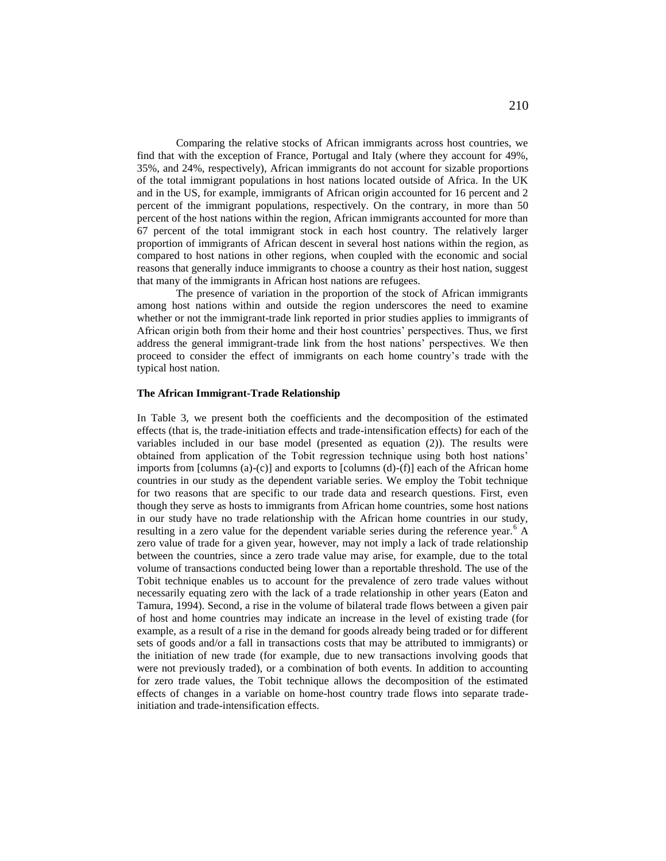Comparing the relative stocks of African immigrants across host countries, we find that with the exception of France, Portugal and Italy (where they account for 49%, 35%, and 24%, respectively), African immigrants do not account for sizable proportions of the total immigrant populations in host nations located outside of Africa. In the UK and in the US, for example, immigrants of African origin accounted for 16 percent and 2 percent of the immigrant populations, respectively. On the contrary, in more than 50 percent of the host nations within the region, African immigrants accounted for more than 67 percent of the total immigrant stock in each host country. The relatively larger proportion of immigrants of African descent in several host nations within the region, as compared to host nations in other regions, when coupled with the economic and social reasons that generally induce immigrants to choose a country as their host nation, suggest that many of the immigrants in African host nations are refugees.

The presence of variation in the proportion of the stock of African immigrants among host nations within and outside the region underscores the need to examine whether or not the immigrant-trade link reported in prior studies applies to immigrants of African origin both from their home and their host countries' perspectives. Thus, we first address the general immigrant-trade link from the host nations' perspectives. We then proceed to consider the effect of immigrants on each home country's trade with the typical host nation.

#### **The African Immigrant-Trade Relationship**

In Table 3, we present both the coefficients and the decomposition of the estimated effects (that is, the trade-initiation effects and trade-intensification effects) for each of the variables included in our base model (presented as equation (2)). The results were obtained from application of the Tobit regression technique using both host nations' imports from  $[columns (a)-(c)]$  and exports to  $[columns (d)-(f)]$  each of the African home countries in our study as the dependent variable series. We employ the Tobit technique for two reasons that are specific to our trade data and research questions. First, even though they serve as hosts to immigrants from African home countries, some host nations in our study have no trade relationship with the African home countries in our study, resulting in a zero value for the dependent variable series during the reference year.<sup>6</sup> A zero value of trade for a given year, however, may not imply a lack of trade relationship between the countries, since a zero trade value may arise, for example, due to the total volume of transactions conducted being lower than a reportable threshold. The use of the Tobit technique enables us to account for the prevalence of zero trade values without necessarily equating zero with the lack of a trade relationship in other years (Eaton and Tamura, 1994). Second, a rise in the volume of bilateral trade flows between a given pair of host and home countries may indicate an increase in the level of existing trade (for example, as a result of a rise in the demand for goods already being traded or for different sets of goods and/or a fall in transactions costs that may be attributed to immigrants) or the initiation of new trade (for example, due to new transactions involving goods that were not previously traded), or a combination of both events. In addition to accounting for zero trade values, the Tobit technique allows the decomposition of the estimated effects of changes in a variable on home-host country trade flows into separate tradeinitiation and trade-intensification effects.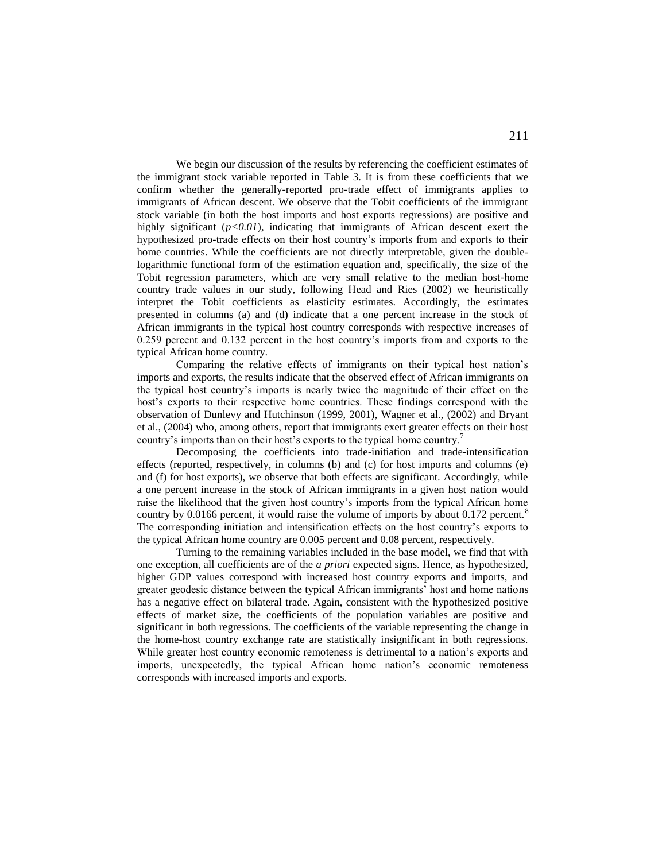We begin our discussion of the results by referencing the coefficient estimates of the immigrant stock variable reported in Table 3. It is from these coefficients that we confirm whether the generally-reported pro-trade effect of immigrants applies to immigrants of African descent. We observe that the Tobit coefficients of the immigrant stock variable (in both the host imports and host exports regressions) are positive and highly significant ( $p$ <0.01), indicating that immigrants of African descent exert the hypothesized pro-trade effects on their host country's imports from and exports to their home countries. While the coefficients are not directly interpretable, given the doublelogarithmic functional form of the estimation equation and, specifically, the size of the Tobit regression parameters, which are very small relative to the median host-home country trade values in our study, following Head and Ries (2002) we heuristically interpret the Tobit coefficients as elasticity estimates. Accordingly, the estimates presented in columns (a) and (d) indicate that a one percent increase in the stock of African immigrants in the typical host country corresponds with respective increases of 0.259 percent and 0.132 percent in the host country's imports from and exports to the typical African home country.

Comparing the relative effects of immigrants on their typical host nation's imports and exports, the results indicate that the observed effect of African immigrants on the typical host country's imports is nearly twice the magnitude of their effect on the host's exports to their respective home countries. These findings correspond with the observation of Dunlevy and Hutchinson (1999, 2001), Wagner et al., (2002) and Bryant et al., (2004) who, among others, report that immigrants exert greater effects on their host country's imports than on their host's exports to the typical home country.<sup>7</sup>

Decomposing the coefficients into trade-initiation and trade-intensification effects (reported, respectively, in columns (b) and (c) for host imports and columns (e) and (f) for host exports), we observe that both effects are significant. Accordingly, while a one percent increase in the stock of African immigrants in a given host nation would raise the likelihood that the given host country's imports from the typical African home country by 0.0166 percent, it would raise the volume of imports by about 0.172 percent.<sup>8</sup> The corresponding initiation and intensification effects on the host country's exports to the typical African home country are 0.005 percent and 0.08 percent, respectively.

Turning to the remaining variables included in the base model, we find that with one exception, all coefficients are of the *a priori* expected signs. Hence, as hypothesized, higher GDP values correspond with increased host country exports and imports, and greater geodesic distance between the typical African immigrants' host and home nations has a negative effect on bilateral trade. Again, consistent with the hypothesized positive effects of market size, the coefficients of the population variables are positive and significant in both regressions. The coefficients of the variable representing the change in the home-host country exchange rate are statistically insignificant in both regressions. While greater host country economic remoteness is detrimental to a nation's exports and imports, unexpectedly, the typical African home nation's economic remoteness corresponds with increased imports and exports.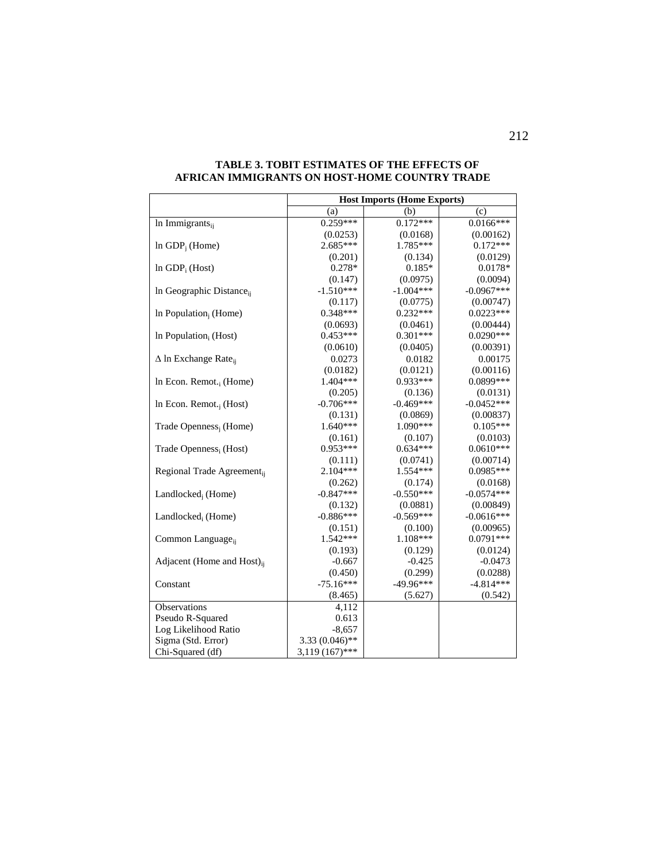|                                         |                  | <b>Host Imports (Home Exports)</b> |              |
|-----------------------------------------|------------------|------------------------------------|--------------|
|                                         | (a)              | (b)                                | (c)          |
| In Immigrantsii                         | $0.259***$       | $0.172***$                         | $0.0166***$  |
|                                         | (0.0253)         | (0.0168)                           | (0.00162)    |
| In $GDP_i$ (Home)                       | 2.685***         | 1.785***                           | $0.172***$   |
|                                         | (0.201)          | (0.134)                            | (0.0129)     |
| $ln$ GDP <sub>i</sub> (Host)            | $0.278*$         | $0.185*$                           | $0.0178*$    |
|                                         | (0.147)          | (0.0975)                           | (0.0094)     |
| In Geographic Distance                  | $-1.510***$      | $-1.004***$                        | $-0.0967***$ |
|                                         | (0.117)          | (0.0775)                           | (0.00747)    |
| In Population <sub>i</sub> (Home)       | $0.348***$       | $0.232***$                         | $0.0223***$  |
|                                         | (0.0693)         | (0.0461)                           | (0.00444)    |
| In Population <sub>i</sub> (Host)       | $0.453***$       | $0.301***$                         | $0.0290***$  |
|                                         | (0.0610)         | (0.0405)                           | (0.00391)    |
| $\Delta$ ln Exchange Rate <sub>ii</sub> | 0.0273           | 0.0182                             | 0.00175      |
|                                         | (0.0182)         | (0.0121)                           | (0.00116)    |
| In Econ. Remot., (Home)                 | 1.404***         | $0.933***$                         | 0.0899***    |
|                                         | (0.205)          | (0.136)                            | (0.0131)     |
| In Econ. Remot., $(Host)$               | $-0.706***$      | $-0.469***$                        | $-0.0452***$ |
|                                         | (0.131)          | (0.0869)                           | (0.00837)    |
| Trade Openness <sub>i</sub> (Home)      | $1.640***$       | $1.090***$                         | $0.105***$   |
|                                         | (0.161)          | (0.107)                            | (0.0103)     |
| Trade Openness <sub>i</sub> (Host)      | $0.953***$       | $0.634***$                         | $0.0610***$  |
|                                         | (0.111)          | (0.0741)                           | (0.00714)    |
| Regional Trade Agreement <sub>ii</sub>  | $2.104***$       | 1.554***                           | $0.0985***$  |
|                                         | (0.262)          | (0.174)                            | (0.0168)     |
| Landlocked <sub>i</sub> (Home)          | $-0.847***$      | $-0.550***$                        | $-0.0574***$ |
|                                         | (0.132)          | (0.0881)                           | (0.00849)    |
| Landlocked <sub>i</sub> (Home)          | $-0.886***$      | $-0.569***$                        | $-0.0616***$ |
|                                         | (0.151)          | (0.100)                            | (0.00965)    |
| Common Language <sub>ii</sub>           | $1.542***$       | $1.108***$                         | $0.0791***$  |
|                                         | (0.193)          | (0.129)                            | (0.0124)     |
| Adjacent (Home and Host) <sub>ii</sub>  | $-0.667$         | $-0.425$                           | $-0.0473$    |
|                                         | (0.450)          | (0.299)                            | (0.0288)     |
| Constant                                | $-75.16***$      | $-49.96***$                        | $-4.814***$  |
|                                         | (8.465)          | (5.627)                            | (0.542)      |
| Observations                            | 4,112            |                                    |              |
| Pseudo R-Squared                        | 0.613            |                                    |              |
| Log Likelihood Ratio                    | $-8,657$         |                                    |              |
| Sigma (Std. Error)                      | $3.33(0.046)$ ** |                                    |              |
| Chi-Squared (df)                        | 3,119 (167)***   |                                    |              |

### **TABLE 3. TOBIT ESTIMATES OF THE EFFECTS OF AFRICAN IMMIGRANTS ON HOST-HOME COUNTRY TRADE**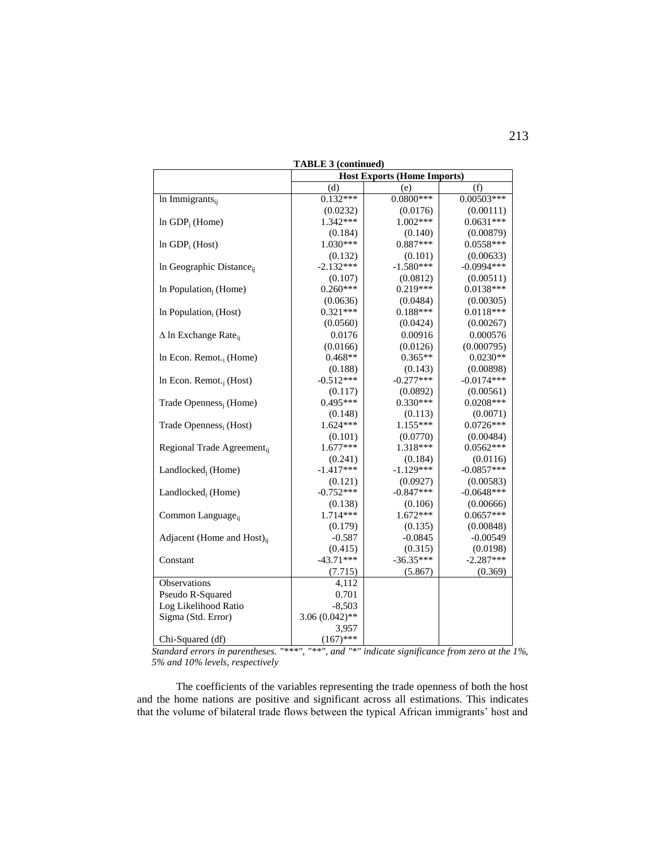|                                         | тирге э (социнаса)<br><b>Host Exports (Home Imports)</b> |             |              |  |  |  |  |
|-----------------------------------------|----------------------------------------------------------|-------------|--------------|--|--|--|--|
|                                         | (d)                                                      | (e)         | (f)          |  |  |  |  |
| In Immigrants <sub>ii</sub>             | $0.132***$                                               | $0.0800***$ | $0.00503***$ |  |  |  |  |
|                                         | (0.0232)                                                 | (0.0176)    | (0.00111)    |  |  |  |  |
| In $GDP_i$ (Home)                       | $1.342***$                                               | $1.002***$  | $0.0631***$  |  |  |  |  |
|                                         | (0.184)                                                  | (0.140)     | (0.00879)    |  |  |  |  |
| $ln GDP_i (Host)$                       | 1.030***                                                 | 0.887***    | 0.0558***    |  |  |  |  |
|                                         | (0.132)                                                  | (0.101)     | (0.00633)    |  |  |  |  |
| In Geographic Distance <sub>ii</sub>    | $-2.132***$                                              | $-1.580***$ | $-0.0994***$ |  |  |  |  |
|                                         | (0.107)                                                  | (0.0812)    | (0.00511)    |  |  |  |  |
| In Population <sub>i</sub> (Home)       | $0.260***$                                               | $0.219***$  | $0.0138***$  |  |  |  |  |
|                                         | (0.0636)                                                 | (0.0484)    | (0.00305)    |  |  |  |  |
| In Population <sub>i</sub> (Host)       | $0.321***$                                               | $0.188***$  | $0.0118***$  |  |  |  |  |
|                                         | (0.0560)                                                 | (0.0424)    | (0.00267)    |  |  |  |  |
| $\Delta$ ln Exchange Rate <sub>ii</sub> | 0.0176                                                   | 0.00916     | 0.000576     |  |  |  |  |
|                                         | (0.0166)                                                 | (0.0126)    | (0.000795)   |  |  |  |  |
| In Econ. Remot.; (Home)                 | $0.468**$                                                | $0.365**$   | $0.0230**$   |  |  |  |  |
|                                         | (0.188)                                                  | (0.143)     | (0.00898)    |  |  |  |  |
| In Econ. Remot., $(Host)$               | $-0.512***$                                              | $-0.277***$ | $-0.0174***$ |  |  |  |  |
|                                         | (0.117)                                                  | (0.0892)    | (0.00561)    |  |  |  |  |
| Trade Openness <sub>i</sub> (Home)      | $0.495***$                                               | $0.330***$  | $0.0208***$  |  |  |  |  |
|                                         | (0.148)                                                  | (0.113)     | (0.0071)     |  |  |  |  |
| Trade Openness <sub>i</sub> (Host)      | $1.624***$                                               | $1.155***$  | $0.0726***$  |  |  |  |  |
|                                         | (0.101)                                                  | (0.0770)    | (0.00484)    |  |  |  |  |
| Regional Trade Agreement <sub>ii</sub>  | 1.677***                                                 | 1.318***    | $0.0562***$  |  |  |  |  |
|                                         | (0.241)                                                  | (0.184)     | (0.0116)     |  |  |  |  |
| Landlocked <sub>i</sub> (Home)          | $-1.417***$                                              | $-1.129***$ | $-0.0857***$ |  |  |  |  |
|                                         | (0.121)                                                  | (0.0927)    | (0.00583)    |  |  |  |  |
| Landlocked <sub>i</sub> (Home)          | $-0.752***$                                              | $-0.847***$ | $-0.0648***$ |  |  |  |  |
|                                         | (0.138)                                                  | (0.106)     | (0.00666)    |  |  |  |  |
| Common Language <sub>ii</sub>           | 1.714***                                                 | $1.672***$  | $0.0657***$  |  |  |  |  |
|                                         | (0.179)                                                  | (0.135)     | (0.00848)    |  |  |  |  |
| Adjacent (Home and Host) $_{ii}$        | $-0.587$                                                 | $-0.0845$   | $-0.00549$   |  |  |  |  |
|                                         | (0.415)                                                  | (0.315)     | (0.0198)     |  |  |  |  |
| Constant                                | $-43.71***$                                              | $-36.35***$ | $-2.287***$  |  |  |  |  |
|                                         | (7.715)                                                  | (5.867)     | (0.369)      |  |  |  |  |
| Observations                            | 4,112                                                    |             |              |  |  |  |  |
| Pseudo R-Squared                        | 0.701                                                    |             |              |  |  |  |  |
| Log Likelihood Ratio                    | $-8,503$                                                 |             |              |  |  |  |  |
| Sigma (Std. Error)                      | $3.06(0.042)$ **                                         |             |              |  |  |  |  |
|                                         | 3,957                                                    |             |              |  |  |  |  |
| Chi-Squared (df)                        | $(167)$ ***                                              |             |              |  |  |  |  |

**TABLE 3 (continued)**

*Standard errors in parentheses. "\*\*\*", "\*\*", and "\*" indicate significance from zero at the 1%, 5% and 10% levels, respectively*

The coefficients of the variables representing the trade openness of both the host and the home nations are positive and significant across all estimations. This indicates that the volume of bilateral trade flows between the typical African immigrants' host and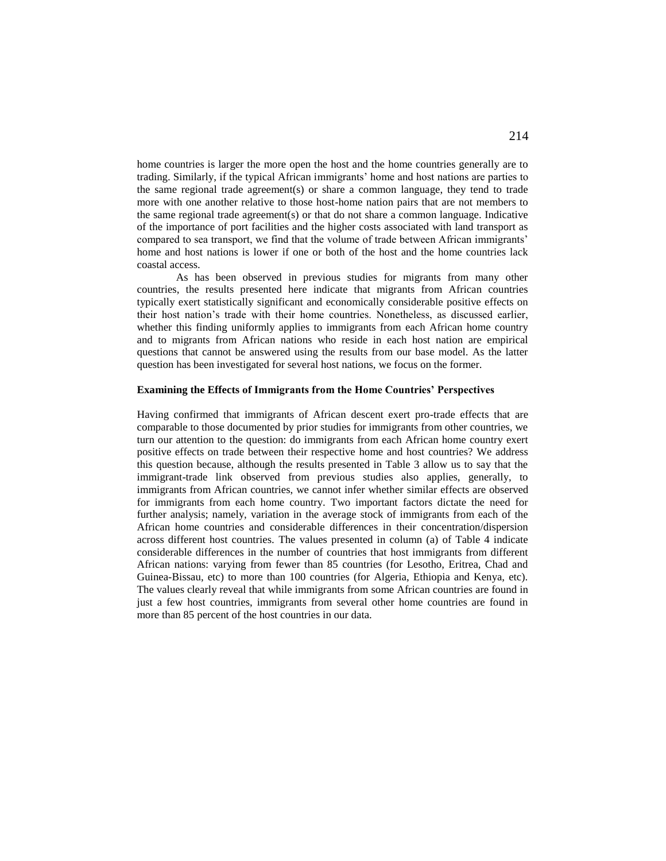home countries is larger the more open the host and the home countries generally are to trading. Similarly, if the typical African immigrants' home and host nations are parties to the same regional trade agreement(s) or share a common language, they tend to trade more with one another relative to those host-home nation pairs that are not members to the same regional trade agreement(s) or that do not share a common language. Indicative of the importance of port facilities and the higher costs associated with land transport as compared to sea transport, we find that the volume of trade between African immigrants' home and host nations is lower if one or both of the host and the home countries lack coastal access.

As has been observed in previous studies for migrants from many other countries, the results presented here indicate that migrants from African countries typically exert statistically significant and economically considerable positive effects on their host nation's trade with their home countries. Nonetheless, as discussed earlier, whether this finding uniformly applies to immigrants from each African home country and to migrants from African nations who reside in each host nation are empirical questions that cannot be answered using the results from our base model. As the latter question has been investigated for several host nations, we focus on the former.

#### **Examining the Effects of Immigrants from the Home Countries' Perspectives**

Having confirmed that immigrants of African descent exert pro-trade effects that are comparable to those documented by prior studies for immigrants from other countries, we turn our attention to the question: do immigrants from each African home country exert positive effects on trade between their respective home and host countries? We address this question because, although the results presented in Table 3 allow us to say that the immigrant-trade link observed from previous studies also applies, generally, to immigrants from African countries, we cannot infer whether similar effects are observed for immigrants from each home country. Two important factors dictate the need for further analysis; namely, variation in the average stock of immigrants from each of the African home countries and considerable differences in their concentration/dispersion across different host countries. The values presented in column (a) of Table 4 indicate considerable differences in the number of countries that host immigrants from different African nations: varying from fewer than 85 countries (for Lesotho, Eritrea, Chad and Guinea-Bissau, etc) to more than 100 countries (for Algeria, Ethiopia and Kenya, etc). The values clearly reveal that while immigrants from some African countries are found in just a few host countries, immigrants from several other home countries are found in more than 85 percent of the host countries in our data.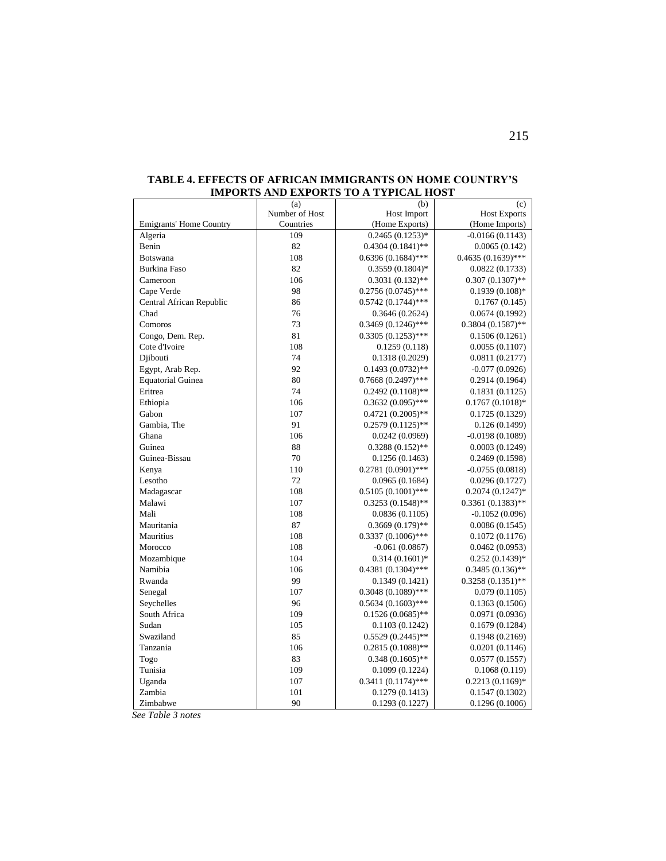|                                | (a)            | (b)                  | (c)                  |
|--------------------------------|----------------|----------------------|----------------------|
|                                | Number of Host | Host Import          | <b>Host Exports</b>  |
| <b>Emigrants' Home Country</b> | Countries      | (Home Exports)       | (Home Imports)       |
| Algeria                        | 109            | $0.2465(0.1253)*$    | $-0.0166(0.1143)$    |
| Benin                          | 82             | $0.4304(0.1841)$ **  | 0.0065(0.142)        |
| <b>Botswana</b>                | 108            | $0.6396(0.1684)$ *** | $0.4635(0.1639)$ *** |
| <b>Burkina Faso</b>            | 82             | $0.3559(0.1804)$ *   | 0.0822(0.1733)       |
| Cameroon                       | 106            | $0.3031(0.132)$ **   | $0.307(0.1307)$ **   |
| Cape Verde                     | 98             | $0.2756(0.0745)$ *** | $0.1939(0.108)$ *    |
| Central African Republic       | 86             | $0.5742(0.1744)$ *** | 0.1767(0.145)        |
| Chad                           | 76             | 0.3646(0.2624)       | 0.0674(0.1992)       |
| Comoros                        | 73             | $0.3469(0.1246)$ *** | $0.3804(0.1587)$ **  |
| Congo, Dem. Rep.               | 81             | $0.3305(0.1253)$ *** | 0.1506(0.1261)       |
| Cote d'Ivoire                  | 108            | 0.1259(0.118)        | 0.0055(0.1107)       |
| Djibouti                       | 74             | 0.1318(0.2029)       | 0.0811 (0.2177)      |
| Egypt, Arab Rep.               | 92             | $0.1493(0.0732)$ **  | $-0.077(0.0926)$     |
| <b>Equatorial Guinea</b>       | 80             | $0.7668(0.2497)$ *** | 0.2914 (0.1964)      |
| Eritrea                        | 74             | $0.2492(0.1108)$ **  | 0.1831(0.1125)       |
| Ethiopia                       | 106            | $0.3632(0.095)$ ***  | $0.1767(0.1018)$ *   |
| Gabon                          | 107            | $0.4721(0.2005)$ **  | 0.1725(0.1329)       |
| Gambia, The                    | 91             | $0.2579(0.1125)$ **  | 0.126(0.1499)        |
| Ghana                          | 106            | 0.0242(0.0969)       | $-0.0198(0.1089)$    |
| Guinea                         | 88             | $0.3288(0.152)$ **   | 0.0003(0.1249)       |
| Guinea-Bissau                  | 70             | 0.1256(0.1463)       | 0.2469(0.1598)       |
| Kenya                          | 110            | $0.2781(0.0901)$ *** | $-0.0755(0.0818)$    |
| Lesotho                        | 72             | 0.0965(0.1684)       | 0.0296(0.1727)       |
| Madagascar                     | 108            | $0.5105(0.1001)$ *** | $0.2074(0.1247)^*$   |
| Malawi                         | 107            | $0.3253(0.1548)$ **  | $0.3361(0.1383)$ **  |
| Mali                           | 108            | 0.0836(0.1105)       | $-0.1052(0.096)$     |
| Mauritania                     | 87             | $0.3669(0.179)$ **   | 0.0086(0.1545)       |
| Mauritius                      | 108            | $0.3337(0.1006)$ *** | 0.1072(0.1176)       |
| Morocco                        | 108            | $-0.061(0.0867)$     | 0.0462(0.0953)       |
| Mozambique                     | 104            | $0.314(0.1601)*$     | $0.252(0.1439)*$     |
| Namibia                        | 106            | $0.4381(0.1304)$ *** | $0.3485(0.136)$ **   |
| Rwanda                         | 99             | 0.1349(0.1421)       | $0.3258(0.1351)$ **  |
| Senegal                        | 107            | $0.3048(0.1089)$ *** | 0.079(0.1105)        |
| Seychelles                     | 96             | $0.5634(0.1603)$ *** | 0.1363(0.1506)       |
| South Africa                   | 109            | $0.1526(0.0685)$ **  | 0.0971(0.0936)       |
| Sudan                          | 105            | 0.1103(0.1242)       | 0.1679(0.1284)       |
| Swaziland                      | 85             | $0.5529(0.2445)$ **  | 0.1948(0.2169)       |
| Tanzania                       | 106            | $0.2815(0.1088)$ **  | 0.0201(0.1146)       |
| Togo                           | 83             | $0.348(0.1605)$ **   | 0.0577(0.1557)       |
| Tunisia                        | 109            | 0.1099 (0.1224)      | 0.1068(0.119)        |
| Uganda                         | 107            | $0.3411(0.1174)$ *** | $0.2213(0.1169)$ *   |
| Zambia                         | 101            | 0.1279(0.1413)       | 0.1547(0.1302)       |
| Zimbabwe                       | 90             | 0.1293(0.1227)       | 0.1296(0.1006)       |

### **TABLE 4. EFFECTS OF AFRICAN IMMIGRANTS ON HOME COUNTRY'S IMPORTS AND EXPORTS TO A TYPICAL HOST**

*See Table 3 notes*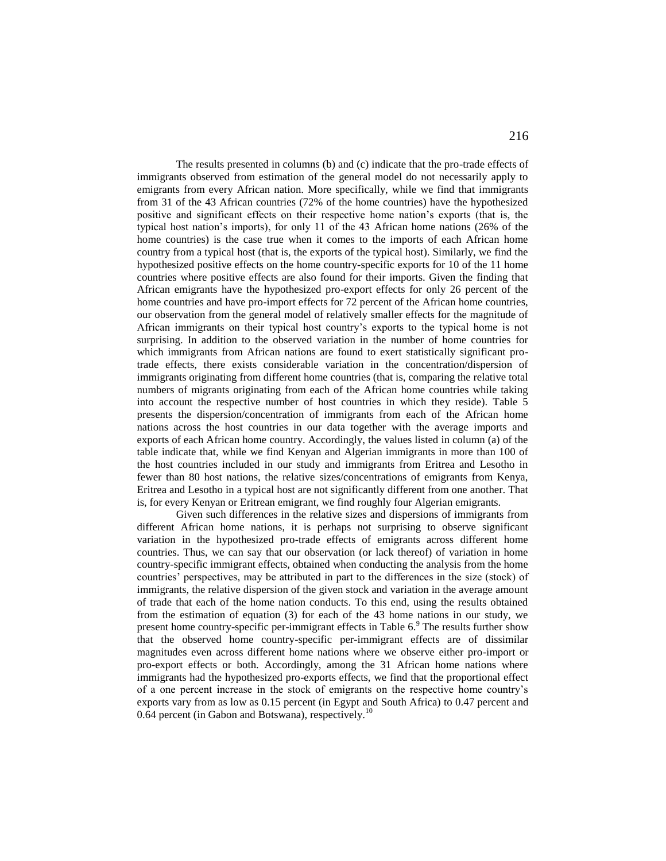The results presented in columns (b) and (c) indicate that the pro-trade effects of immigrants observed from estimation of the general model do not necessarily apply to emigrants from every African nation. More specifically, while we find that immigrants from 31 of the 43 African countries (72% of the home countries) have the hypothesized positive and significant effects on their respective home nation's exports (that is, the typical host nation's imports), for only 11 of the 43 African home nations (26% of the home countries) is the case true when it comes to the imports of each African home country from a typical host (that is, the exports of the typical host). Similarly, we find the hypothesized positive effects on the home country-specific exports for 10 of the 11 home countries where positive effects are also found for their imports. Given the finding that African emigrants have the hypothesized pro-export effects for only 26 percent of the home countries and have pro-import effects for 72 percent of the African home countries, our observation from the general model of relatively smaller effects for the magnitude of African immigrants on their typical host country's exports to the typical home is not surprising. In addition to the observed variation in the number of home countries for which immigrants from African nations are found to exert statistically significant protrade effects, there exists considerable variation in the concentration/dispersion of immigrants originating from different home countries (that is, comparing the relative total numbers of migrants originating from each of the African home countries while taking into account the respective number of host countries in which they reside). Table 5 presents the dispersion/concentration of immigrants from each of the African home nations across the host countries in our data together with the average imports and exports of each African home country. Accordingly, the values listed in column (a) of the table indicate that, while we find Kenyan and Algerian immigrants in more than 100 of the host countries included in our study and immigrants from Eritrea and Lesotho in fewer than 80 host nations, the relative sizes/concentrations of emigrants from Kenya, Eritrea and Lesotho in a typical host are not significantly different from one another. That is, for every Kenyan or Eritrean emigrant, we find roughly four Algerian emigrants.

Given such differences in the relative sizes and dispersions of immigrants from different African home nations, it is perhaps not surprising to observe significant variation in the hypothesized pro-trade effects of emigrants across different home countries. Thus, we can say that our observation (or lack thereof) of variation in home country-specific immigrant effects, obtained when conducting the analysis from the home countries' perspectives, may be attributed in part to the differences in the size (stock) of immigrants, the relative dispersion of the given stock and variation in the average amount of trade that each of the home nation conducts. To this end, using the results obtained from the estimation of equation (3) for each of the 43 home nations in our study, we present home country-specific per-immigrant effects in Table  $6<sup>9</sup>$  The results further show that the observed home country-specific per-immigrant effects are of dissimilar magnitudes even across different home nations where we observe either pro-import or pro-export effects or both. Accordingly, among the 31 African home nations where immigrants had the hypothesized pro-exports effects, we find that the proportional effect of a one percent increase in the stock of emigrants on the respective home country's exports vary from as low as 0.15 percent (in Egypt and South Africa) to 0.47 percent and 0.64 percent (in Gabon and Botswana), respectively.<sup>10</sup>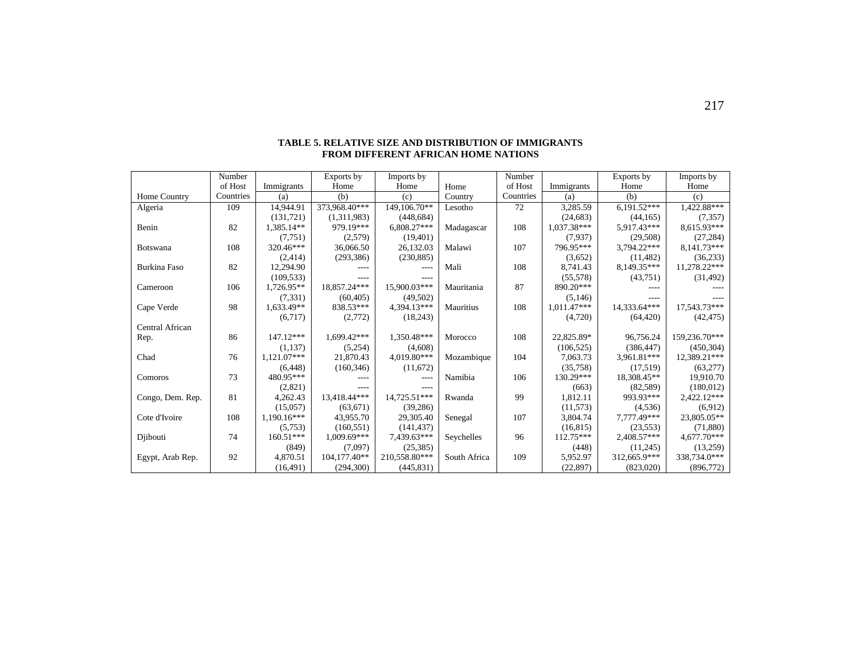|                     | Number    |             | Exports by    | Imports by    |              | Number    |             | Exports by   | Imports by    |
|---------------------|-----------|-------------|---------------|---------------|--------------|-----------|-------------|--------------|---------------|
|                     | of Host   | Immigrants  | Home          | Home          | Home         | of Host   | Immigrants  | Home         | Home          |
| Home Country        | Countries | (a)         | (b)           | (c)           | Country      | Countries | (a)         | (b)          | (c)           |
| Algeria             | 109       | 14.944.91   | 373,968.40*** | 149,106.70**  | Lesotho      | 72        | 3,285.59    | 6,191.52***  | $1,422.88***$ |
|                     |           | (131, 721)  | (1,311,983)   | (448, 684)    |              |           | (24, 683)   | (44,165)     | (7, 357)      |
| Benin               | 82        | 1.385.14**  | 979.19***     | 6,808.27***   | Madagascar   | 108       | 1,037.38*** | 5,917.43***  | 8,615.93***   |
|                     |           | (7,751)     | (2,579)       | (19,401)      |              |           | (7,937)     | (29,508)     | (27, 284)     |
| Botswana            | 108       | 320.46***   | 36,066.50     | 26,132.03     | Malawi       | 107       | 796.95***   | 3.794.22***  | 8,141.73***   |
|                     |           | (2, 414)    | (293, 386)    | (230, 885)    |              |           | (3,652)     | (11, 482)    | (36,233)      |
| <b>Burkina Faso</b> | 82        | 12,294.90   | $- - - -$     | $- - - -$     | Mali         | 108       | 8.741.43    | 8,149.35***  | 11,278.22***  |
|                     |           | (109, 533)  | ----          | $---$         |              |           | (55, 578)   | (43,751)     | (31, 492)     |
| Cameroon            | 106       | 1.726.95**  | 18,857.24***  | 15,900.03***  | Mauritania   | 87        | 890.20***   | ----         |               |
|                     |           | (7, 331)    | (60, 405)     | (49,502)      |              |           | (5, 146)    |              |               |
| Cape Verde          | 98        | 1,633.49**  | 838.53***     | 4,394.13***   | Mauritius    | 108       | 1,011.47*** | 14,333.64*** | 17,543.73***  |
|                     |           | (6,717)     | (2,772)       | (18,243)      |              |           | (4,720)     | (64, 420)    | (42, 475)     |
| Central African     |           |             |               |               |              |           |             |              |               |
| Rep.                | 86        | 147.12***   | 1.699.42***   | 1,350.48***   | Morocco      | 108       | 22,825.89*  | 96,756.24    | 159.236.70*** |
|                     |           | (1,137)     | (5,254)       | (4,608)       |              |           | (106, 525)  | (386, 447)   | (450, 304)    |
| Chad                | 76        | 1,121.07*** | 21,870.43     | 4.019.80***   | Mozambique   | 104       | 7.063.73    | 3.961.81***  | 12,389.21***  |
|                     |           | (6, 448)    | (160, 346)    | (11,672)      |              |           | (35,758)    | (17,519)     | (63,277)      |
| Comoros             | 73        | 480.95***   |               | $- - - -$     | Namibia      | 106       | 130.29***   | 18,308.45**  | 19.910.70     |
|                     |           | (2,821)     | $- - - -$     | $---$         |              |           | (663)       | (82,589)     | (180, 012)    |
| Congo, Dem. Rep.    | 81        | 4,262.43    | 13.418.44***  | 14,725.51***  | Rwanda       | 99        | 1,812.11    | 993.93***    | 2,422.12***   |
|                     |           | (15,057)    | (63, 671)     | (39, 286)     |              |           | (11,573)    | (4,536)      | (6,912)       |
| Cote d'Ivoire       | 108       | 1.190.16*** | 43,955.70     | 29,305.40     | Senegal      | 107       | 3,804.74    | 7.777.49***  | 23,805.05**   |
|                     |           | (5,753)     | (160.551)     | (141, 437)    |              |           | (16.815)    | (23,553)     | (71,880)      |
| Djibouti            | 74        | $160.51***$ | 1.009.69***   | 7,439.63***   | Seychelles   | 96        | 112.75***   | 2,408.57***  | 4,677.70***   |
|                     |           | (849)       | (7,097)       | (25, 385)     |              |           | (448)       | (11,245)     | (13,259)      |
| Egypt, Arab Rep.    | 92        | 4,870.51    | 104,177.40**  | 210,558.80*** | South Africa | 109       | 5,952.97    | 312,665.9*** | 338,734.0***  |
|                     |           | (16, 491)   | (294,300)     | (445, 831)    |              |           | (22, 897)   | (823,020)    | (896,772)     |

#### **TABLE 5. RELATIVE SIZE AND DISTRIBUTION OF IMMIGRANTS FROM DIFFERENT AFRICAN HOME NATIONS**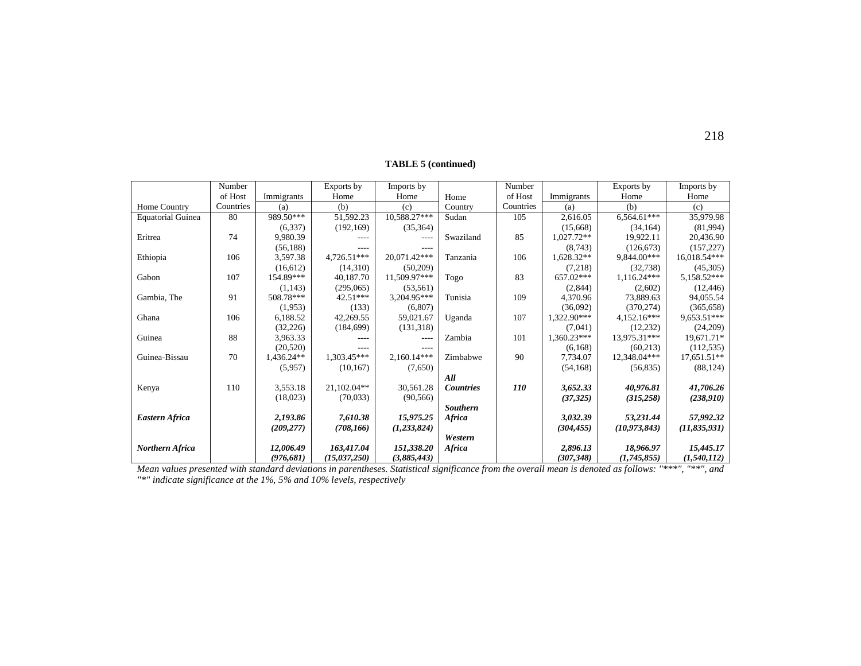|                          | Number    |            | Exports by    | Imports by    |                  | Number     |              | Exports by     | Imports by     |
|--------------------------|-----------|------------|---------------|---------------|------------------|------------|--------------|----------------|----------------|
|                          | of Host   | Immigrants | Home          | Home          | Home             | of Host    | Immigrants   | Home           | Home           |
| Home Country             | Countries | (a)        | (b)           | (c)           | Country          | Countries  | (a)          | (b)            | (c)            |
| <b>Equatorial Guinea</b> | 80        | 989.50***  | 51,592.23     | 10,588.27***  | Sudan            | 105        | 2,616.05     | 6,564.61***    | 35,979.98      |
|                          |           | (6, 337)   | (192, 169)    | (35,364)      |                  |            | (15,668)     | (34, 164)      | (81,994)       |
| Eritrea                  | 74        | 9,980.39   | ----          | $- - - -$     | Swaziland        | 85         | $1,027.72**$ | 19,922.11      | 20,436.90      |
|                          |           | (56, 188)  | $- - - -$     | ----          |                  |            | (8,743)      | (126.673)      | (157, 227)     |
| Ethiopia                 | 106       | 3,597.38   | $4,726.51***$ | 20,071.42***  | Tanzania         | 106        | 1,628.32**   | $9.844.00***$  | 16,018.54***   |
|                          |           | (16,612)   | (14,310)      | (50,209)      |                  |            | (7,218)      | (32, 738)      | (45,305)       |
| Gabon                    | 107       | 154.89***  | 40,187.70     | 11,509.97***  | Togo             | 83         | 657.02***    | $1,116.24***$  | 5,158.52***    |
|                          |           | (1,143)    | (295,065)     | (53, 561)     |                  |            | (2,844)      | (2,602)        | (12, 446)      |
| Gambia, The              | 91        | 508.78***  | 42.51***      | 3,204.95***   | Tunisia          | 109        | 4,370.96     | 73,889.63      | 94,055.54      |
|                          |           | (1,953)    | (133)         | (6,807)       |                  |            | (36,092)     | (370, 274)     | (365, 658)     |
| Ghana                    | 106       | 6,188.52   | 42,269.55     | 59,021.67     | Uganda           | 107        | 1,322.90***  | $4,152.16***$  | 9,653.51***    |
|                          |           | (32,226)   | (184, 699)    | (131,318)     |                  |            | (7,041)      | (12, 232)      | (24,209)       |
| Guinea                   | 88        | 3,963.33   | ----          | $- - - -$     | Zambia           | 101        | 1,360.23***  | 13,975.31***   | 19,671.71*     |
|                          |           | (20,520)   | $- - - -$     | ----          |                  |            | (6, 168)     | (60,213)       | (112, 535)     |
| Guinea-Bissau            | 70        | 1,436.24** | 1,303.45***   | $2,160.14***$ | Zimbabwe         | 90         | 7,734.07     | 12,348.04***   | $17,651.51**$  |
|                          |           | (5,957)    | (10,167)      | (7,650)       |                  |            | (54, 168)    | (56, 835)      | (88, 124)      |
|                          |           |            |               |               | All              |            |              |                |                |
| Kenya                    | 110       | 3,553.18   | 21,102.04**   | 30,561.28     | <b>Countries</b> | <i>110</i> | 3,652.33     | 40,976.81      | 41,706.26      |
|                          |           | (18,023)   | (70,033)      | (90, 566)     |                  |            | (37, 325)    | (315, 258)     | (238,910)      |
|                          |           |            |               |               | <b>Southern</b>  |            |              |                |                |
| Eastern Africa           |           | 2,193.86   | 7,610.38      | 15,975.25     | Africa           |            | 3,032.39     | 53,231.44      | 57,992.32      |
|                          |           | (209, 277) | (708, 166)    | (1, 233, 824) |                  |            | (304, 455)   | (10, 973, 843) | (11, 835, 931) |
|                          |           |            |               |               | Western          |            |              |                |                |
| Northern Africa          |           | 12,006.49  | 163,417.04    | 151,338.20    | Africa           |            | 2,896.13     | 18.966.97      | 15,445.17      |
|                          |           | (976, 681) | (15,037,250)  | (3,885,443)   |                  |            | (307, 348)   | (1,745,855)    | (1,540,112)    |

#### **TABLE 5 (continued)**

*Mean values presented with standard deviations in parentheses. Statistical significance from the overall mean is denoted as follows: "\*\*\*", "\*\*", and "\*" indicate significance at the 1%, 5% and 10% levels, respectively*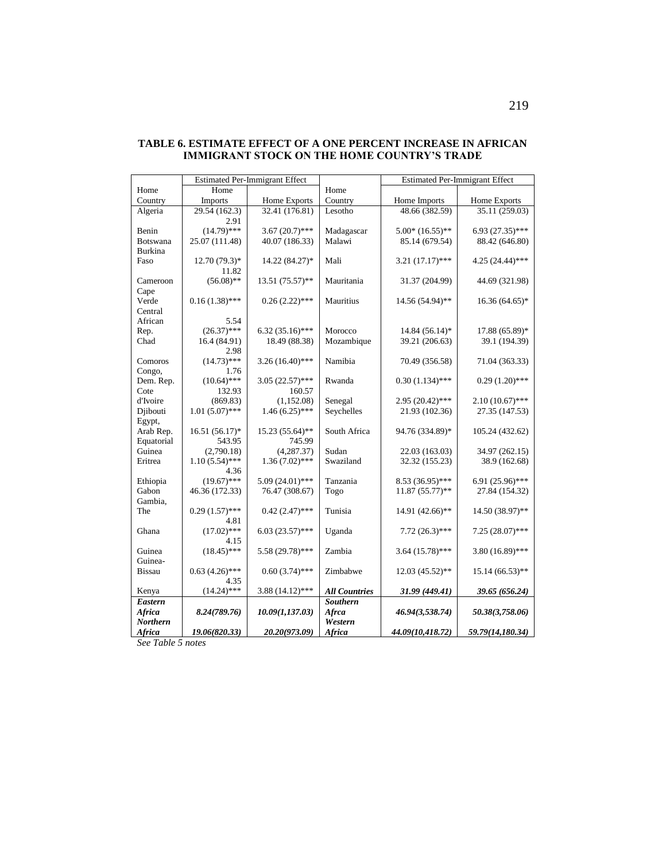#### **TABLE 6. ESTIMATE EFFECT OF A ONE PERCENT INCREASE IN AFRICAN IMMIGRANT STOCK ON THE HOME COUNTRY'S TRADE**

|                 |                  | <b>Estimated Per-Immigrant Effect</b> |                      | <b>Estimated Per-Immigrant Effect</b> |                   |
|-----------------|------------------|---------------------------------------|----------------------|---------------------------------------|-------------------|
| Home            | Home             |                                       | Home                 |                                       |                   |
| Country         | <b>Imports</b>   | Home Exports                          | Country              | Home Imports                          | Home Exports      |
| Algeria         | 29.54 (162.3)    | 32.41 (176.81)                        | Lesotho              | 48.66 (382.59)                        | 35.11 (259.03)    |
|                 | 2.91             |                                       |                      |                                       |                   |
| Benin           | $(14.79)$ ***    | $3.67(20.7)$ ***                      | Madagascar           | $5.00*(16.55)*$                       | $6.93(27.35)$ *** |
| <b>Botswana</b> | 25.07 (111.48)   | 40.07 (186.33)                        | Malawi               | 85.14 (679.54)                        | 88.42 (646.80)    |
| <b>Burkina</b>  |                  |                                       |                      |                                       |                   |
| Faso            | $12.70(79.3)*$   | 14.22 (84.27)*                        | Mali                 | 3.21 $(17.17)$ ***                    | 4.25 (24.44)***   |
|                 | 11.82            |                                       |                      |                                       |                   |
| Cameroon        | $(56.08)$ **     | 13.51 (75.57)**                       | Mauritania           | 31.37 (204.99)                        | 44.69 (321.98)    |
| Cape            |                  |                                       |                      |                                       |                   |
| Verde           | $0.16(1.38)$ *** | $0.26(2.22)$ ***                      | Mauritius            | 14.56 (54.94)**                       | 16.36 (64.65)*    |
| Central         |                  |                                       |                      |                                       |                   |
| African         | 5.54             |                                       |                      |                                       |                   |
| Rep.            | $(26.37)$ ***    | $6.32(35.16)$ ***                     | Morocco              | 14.84 (56.14)*                        | 17.88 (65.89)*    |
| Chad            | 16.4 (84.91)     | 18.49 (88.38)                         | Mozambique           | 39.21 (206.63)                        | 39.1 (194.39)     |
|                 | 2.98             |                                       |                      |                                       |                   |
| Comoros         | $(14.73)$ ***    | $3.26(16.40)$ ***                     | Namibia              | 70.49 (356.58)                        | 71.04 (363.33)    |
| Congo,          | 1.76             |                                       |                      |                                       |                   |
| Dem. Rep.       | $(10.64)$ ***    | $3.05(22.57)$ ***                     | Rwanda               | $0.30(1.134)$ ***                     | $0.29(1.20)$ ***  |
| Cote            | 132.93           | 160.57                                |                      |                                       |                   |
| d'Ivoire        | (869.83)         | (1,152.08)                            | Senegal              | $2.95(20.42)$ ***                     | $2.10(10.67)$ *** |
| Djibouti        | $1.01(5.07)$ *** | $1.46(6.25)$ ***                      | Seychelles           | 21.93 (102.36)                        | 27.35 (147.53)    |
| Egypt,          |                  |                                       |                      |                                       |                   |
| Arab Rep.       | $16.51(56.17)$ * | 15.23 (55.64)**                       | South Africa         | 94.76 (334.89)*                       | 105.24 (432.62)   |
| Equatorial      | 543.95           | 745.99                                |                      |                                       |                   |
| Guinea          | (2,790.18)       | (4, 287.37)                           | Sudan                | 22.03 (163.03)                        | 34.97 (262.15)    |
| Eritrea         | $1.10(5.54)$ *** | $1.36(7.02)$ ***                      | Swaziland            | 32.32 (155.23)                        | 38.9 (162.68)     |
|                 | 4.36             |                                       |                      |                                       |                   |
| Ethiopia        | $(19.67)$ ***    | $5.09(24.01)$ ***                     | Tanzania             | 8.53 (36.95)***                       | $6.91(25.96)$ *** |
| Gabon           | 46.36 (172.33)   | 76.47 (308.67)                        | Togo                 | $11.87(55.77)$ **                     | 27.84 (154.32)    |
| Gambia.         |                  |                                       |                      |                                       |                   |
| The             | $0.29(1.57)$ *** | $0.42(2.47)$ ***                      | Tunisia              | 14.91 (42.66)**                       | 14.50 (38.97)**   |
|                 | 4.81             |                                       |                      |                                       |                   |
| Ghana           | $(17.02)$ ***    | $6.03(23.57)$ ***                     | Uganda               | $7.72(26.3)$ ***                      | $7.25(28.07)$ *** |
|                 | 4.15             |                                       |                      |                                       |                   |
| Guinea          | $(18.45)$ ***    | 5.58 (29.78)***                       | Zambia               | $3.64(15.78)$ ***                     | $3.80(16.89)$ *** |
| Guinea-         |                  |                                       |                      |                                       |                   |
| <b>Bissau</b>   | $0.63(4.26)$ *** | $0.60(3.74)$ ***                      | Zimbabwe             | 12.03 (45.52)**                       | $15.14(66.53)$ ** |
|                 | 4.35             |                                       |                      |                                       |                   |
| Kenya           | $(14.24)$ ***    | $3.88(14.12)$ ***                     | <b>All Countries</b> | 31.99 (449.41)                        | 39.65 (656.24)    |
| Eastern         |                  |                                       | <b>Southern</b>      |                                       |                   |
| Africa          | 8.24(789.76)     | 10.09(1, 137.03)                      | Afrca                | 46.94(3,538.74)                       | 50.38(3,758.06)   |
| <b>Northern</b> |                  |                                       | Western              |                                       |                   |
| Africa          | 19.06(820.33)    | 20.20(973.09)                         | Africa               | 44.09(10,418.72)                      | 59.79(14,180.34)  |

*See Table 5 notes*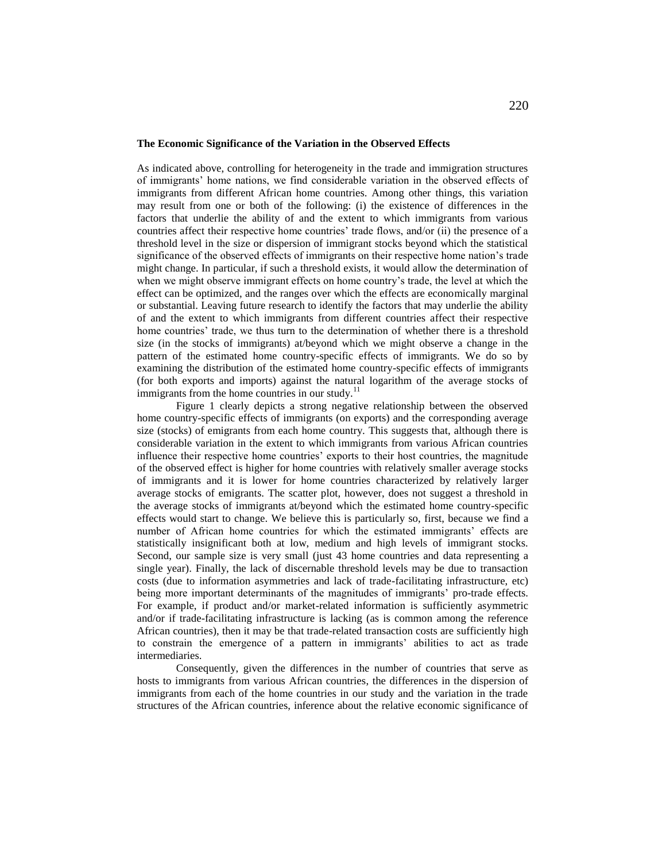#### **The Economic Significance of the Variation in the Observed Effects**

As indicated above, controlling for heterogeneity in the trade and immigration structures of immigrants' home nations, we find considerable variation in the observed effects of immigrants from different African home countries. Among other things, this variation may result from one or both of the following: (i) the existence of differences in the factors that underlie the ability of and the extent to which immigrants from various countries affect their respective home countries' trade flows, and/or (ii) the presence of a threshold level in the size or dispersion of immigrant stocks beyond which the statistical significance of the observed effects of immigrants on their respective home nation's trade might change. In particular, if such a threshold exists, it would allow the determination of when we might observe immigrant effects on home country's trade, the level at which the effect can be optimized, and the ranges over which the effects are economically marginal or substantial. Leaving future research to identify the factors that may underlie the ability of and the extent to which immigrants from different countries affect their respective home countries' trade, we thus turn to the determination of whether there is a threshold size (in the stocks of immigrants) at/beyond which we might observe a change in the pattern of the estimated home country-specific effects of immigrants. We do so by examining the distribution of the estimated home country-specific effects of immigrants (for both exports and imports) against the natural logarithm of the average stocks of immigrants from the home countries in our study. $^{11}$ 

Figure 1 clearly depicts a strong negative relationship between the observed home country-specific effects of immigrants (on exports) and the corresponding average size (stocks) of emigrants from each home country. This suggests that, although there is considerable variation in the extent to which immigrants from various African countries influence their respective home countries' exports to their host countries, the magnitude of the observed effect is higher for home countries with relatively smaller average stocks of immigrants and it is lower for home countries characterized by relatively larger average stocks of emigrants. The scatter plot, however, does not suggest a threshold in the average stocks of immigrants at/beyond which the estimated home country-specific effects would start to change. We believe this is particularly so, first, because we find a number of African home countries for which the estimated immigrants' effects are statistically insignificant both at low, medium and high levels of immigrant stocks. Second, our sample size is very small (just 43 home countries and data representing a single year). Finally, the lack of discernable threshold levels may be due to transaction costs (due to information asymmetries and lack of trade-facilitating infrastructure, etc) being more important determinants of the magnitudes of immigrants' pro-trade effects. For example, if product and/or market-related information is sufficiently asymmetric and/or if trade-facilitating infrastructure is lacking (as is common among the reference African countries), then it may be that trade-related transaction costs are sufficiently high to constrain the emergence of a pattern in immigrants' abilities to act as trade intermediaries.

Consequently, given the differences in the number of countries that serve as hosts to immigrants from various African countries, the differences in the dispersion of immigrants from each of the home countries in our study and the variation in the trade structures of the African countries, inference about the relative economic significance of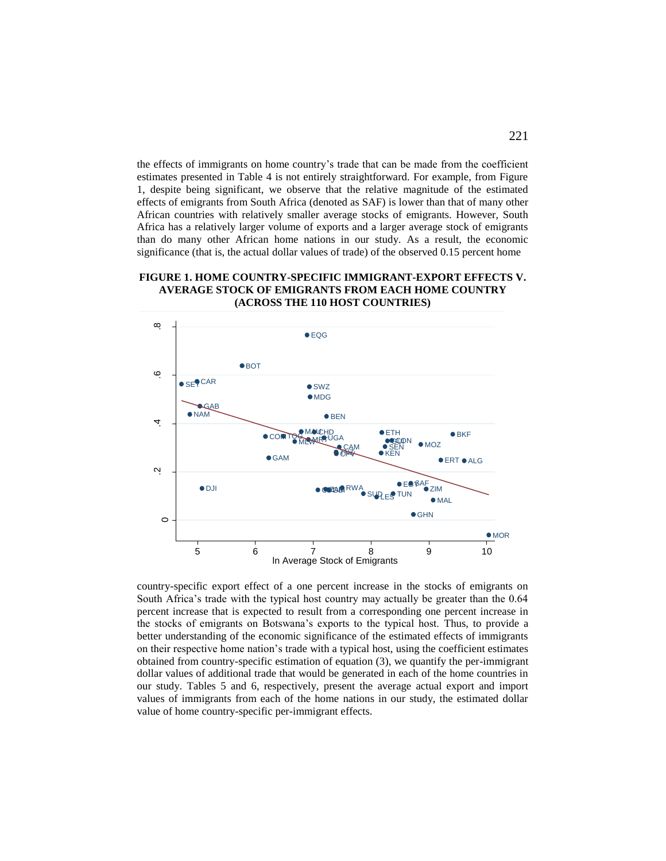the effects of immigrants on home country's trade that can be made from the coefficient estimates presented in Table 4 is not entirely straightforward. For example, from Figure 1, despite being significant, we observe that the relative magnitude of the estimated effects of emigrants from South Africa (denoted as SAF) is lower than that of many other African countries with relatively smaller average stocks of emigrants. However, South Africa has a relatively larger volume of exports and a larger average stock of emigrants than do many other African home nations in our study. As a result, the economic significance (that is, the actual dollar values of trade) of the observed 0.15 percent home

**FIGURE 1. HOME COUNTRY-SPECIFIC IMMIGRANT-EXPORT EFFECTS V. AVERAGE STOCK OF EMIGRANTS FROM EACH HOME COUNTRY (ACROSS THE 110 HOST COUNTRIES)**



country-specific export effect of a one percent increase in the stocks of emigrants on South Africa's trade with the typical host country may actually be greater than the 0.64 percent increase that is expected to result from a corresponding one percent increase in the stocks of emigrants on Botswana's exports to the typical host. Thus, to provide a better understanding of the economic significance of the estimated effects of immigrants on their respective home nation's trade with a typical host, using the coefficient estimates obtained from country-specific estimation of equation (3), we quantify the per-immigrant dollar values of additional trade that would be generated in each of the home countries in our study. Tables 5 and 6, respectively, present the average actual export and import values of immigrants from each of the home nations in our study, the estimated dollar value of home country-specific per-immigrant effects.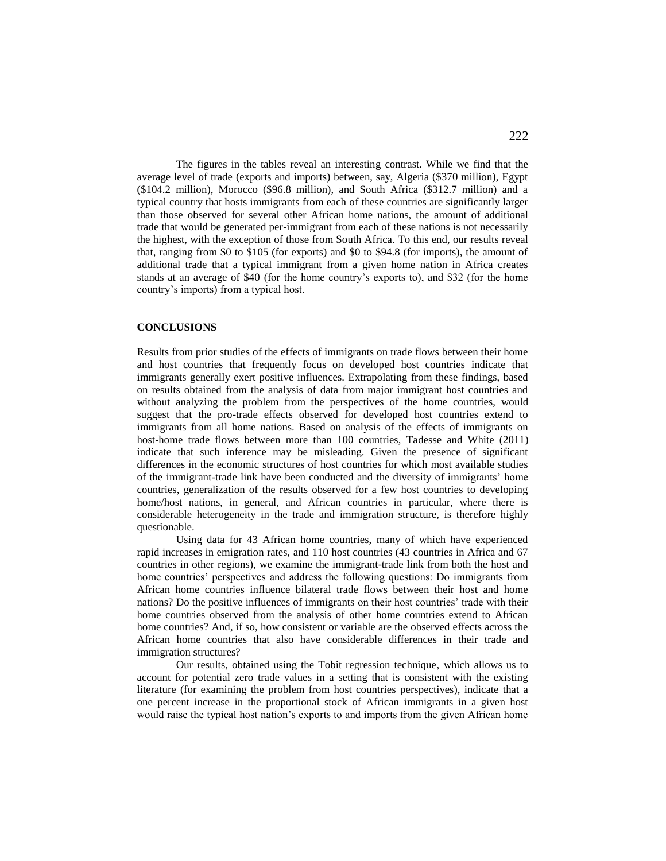The figures in the tables reveal an interesting contrast. While we find that the average level of trade (exports and imports) between, say, Algeria (\$370 million), Egypt (\$104.2 million), Morocco (\$96.8 million), and South Africa (\$312.7 million) and a typical country that hosts immigrants from each of these countries are significantly larger than those observed for several other African home nations, the amount of additional trade that would be generated per-immigrant from each of these nations is not necessarily the highest, with the exception of those from South Africa. To this end, our results reveal that, ranging from \$0 to \$105 (for exports) and \$0 to \$94.8 (for imports), the amount of additional trade that a typical immigrant from a given home nation in Africa creates stands at an average of \$40 (for the home country's exports to), and \$32 (for the home country's imports) from a typical host.

#### **CONCLUSIONS**

Results from prior studies of the effects of immigrants on trade flows between their home and host countries that frequently focus on developed host countries indicate that immigrants generally exert positive influences. Extrapolating from these findings, based on results obtained from the analysis of data from major immigrant host countries and without analyzing the problem from the perspectives of the home countries, would suggest that the pro-trade effects observed for developed host countries extend to immigrants from all home nations. Based on analysis of the effects of immigrants on host-home trade flows between more than 100 countries, Tadesse and White (2011) indicate that such inference may be misleading. Given the presence of significant differences in the economic structures of host countries for which most available studies of the immigrant-trade link have been conducted and the diversity of immigrants' home countries, generalization of the results observed for a few host countries to developing home/host nations, in general, and African countries in particular, where there is considerable heterogeneity in the trade and immigration structure, is therefore highly questionable.

Using data for 43 African home countries, many of which have experienced rapid increases in emigration rates, and 110 host countries (43 countries in Africa and 67 countries in other regions), we examine the immigrant-trade link from both the host and home countries' perspectives and address the following questions: Do immigrants from African home countries influence bilateral trade flows between their host and home nations? Do the positive influences of immigrants on their host countries' trade with their home countries observed from the analysis of other home countries extend to African home countries? And, if so, how consistent or variable are the observed effects across the African home countries that also have considerable differences in their trade and immigration structures?

Our results, obtained using the Tobit regression technique, which allows us to account for potential zero trade values in a setting that is consistent with the existing literature (for examining the problem from host countries perspectives), indicate that a one percent increase in the proportional stock of African immigrants in a given host would raise the typical host nation's exports to and imports from the given African home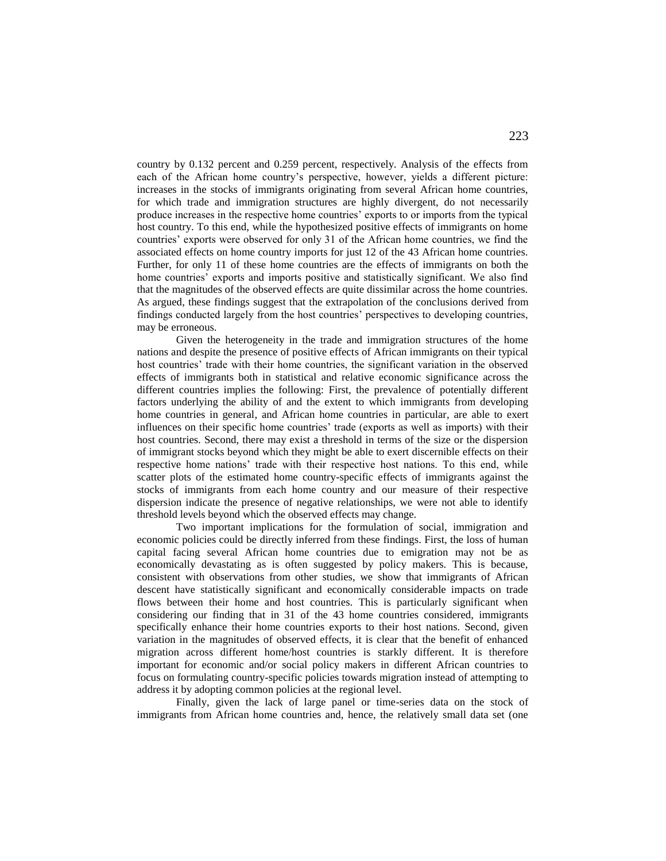country by 0.132 percent and 0.259 percent, respectively. Analysis of the effects from each of the African home country's perspective, however, yields a different picture: increases in the stocks of immigrants originating from several African home countries, for which trade and immigration structures are highly divergent, do not necessarily produce increases in the respective home countries' exports to or imports from the typical host country. To this end, while the hypothesized positive effects of immigrants on home countries' exports were observed for only 31 of the African home countries, we find the associated effects on home country imports for just 12 of the 43 African home countries. Further, for only 11 of these home countries are the effects of immigrants on both the home countries' exports and imports positive and statistically significant. We also find that the magnitudes of the observed effects are quite dissimilar across the home countries. As argued, these findings suggest that the extrapolation of the conclusions derived from findings conducted largely from the host countries' perspectives to developing countries, may be erroneous.

Given the heterogeneity in the trade and immigration structures of the home nations and despite the presence of positive effects of African immigrants on their typical host countries' trade with their home countries, the significant variation in the observed effects of immigrants both in statistical and relative economic significance across the different countries implies the following: First, the prevalence of potentially different factors underlying the ability of and the extent to which immigrants from developing home countries in general, and African home countries in particular, are able to exert influences on their specific home countries' trade (exports as well as imports) with their host countries. Second, there may exist a threshold in terms of the size or the dispersion of immigrant stocks beyond which they might be able to exert discernible effects on their respective home nations' trade with their respective host nations. To this end, while scatter plots of the estimated home country-specific effects of immigrants against the stocks of immigrants from each home country and our measure of their respective dispersion indicate the presence of negative relationships, we were not able to identify threshold levels beyond which the observed effects may change.

Two important implications for the formulation of social, immigration and economic policies could be directly inferred from these findings. First, the loss of human capital facing several African home countries due to emigration may not be as economically devastating as is often suggested by policy makers. This is because, consistent with observations from other studies, we show that immigrants of African descent have statistically significant and economically considerable impacts on trade flows between their home and host countries. This is particularly significant when considering our finding that in 31 of the 43 home countries considered, immigrants specifically enhance their home countries exports to their host nations. Second, given variation in the magnitudes of observed effects, it is clear that the benefit of enhanced migration across different home/host countries is starkly different. It is therefore important for economic and/or social policy makers in different African countries to focus on formulating country-specific policies towards migration instead of attempting to address it by adopting common policies at the regional level.

Finally, given the lack of large panel or time-series data on the stock of immigrants from African home countries and, hence, the relatively small data set (one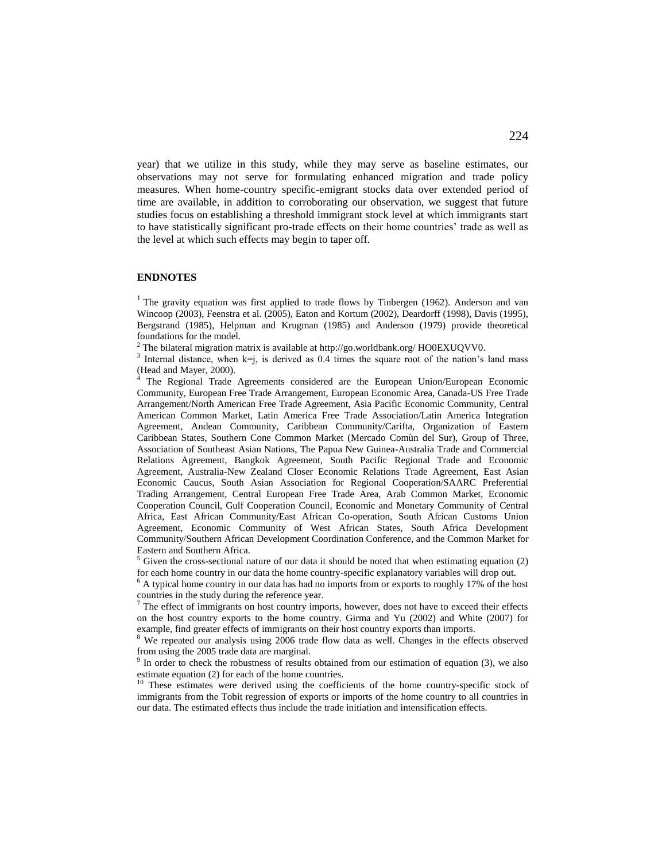year) that we utilize in this study, while they may serve as baseline estimates, our observations may not serve for formulating enhanced migration and trade policy measures. When home-country specific-emigrant stocks data over extended period of time are available, in addition to corroborating our observation, we suggest that future studies focus on establishing a threshold immigrant stock level at which immigrants start to have statistically significant pro-trade effects on their home countries' trade as well as the level at which such effects may begin to taper off.

#### **ENDNOTES**

<sup>1</sup> The gravity equation was first applied to trade flows by Tinbergen (1962). Anderson and van Wincoop (2003), Feenstra et al. (2005), Eaton and Kortum (2002), Deardorff (1998), Davis (1995), Bergstrand (1985), Helpman and Krugman (1985) and Anderson (1979) provide theoretical foundations for the model.

 $^{2}$  The bilateral migration matrix is available at http://go.worldbank.org/ HO0EXUQVV0.

 $3$  Internal distance, when k=j, is derived as 0.4 times the square root of the nation's land mass (Head and Mayer, 2000).

<sup>4</sup> The Regional Trade Agreements considered are the European Union/European Economic Community, European Free Trade Arrangement, European Economic Area, Canada-US Free Trade Arrangement/North American Free Trade Agreement, Asia Pacific Economic Community, Central American Common Market, Latin America Free Trade Association/Latin America Integration Agreement, Andean Community, Caribbean Community/Carifta, Organization of Eastern Caribbean States, Southern Cone Common Market (Mercado Comùn del Sur), Group of Three, Association of Southeast Asian Nations, The Papua New Guinea-Australia Trade and Commercial Relations Agreement, Bangkok Agreement, South Pacific Regional Trade and Economic Agreement, Australia-New Zealand Closer Economic Relations Trade Agreement, East Asian Economic Caucus, South Asian Association for Regional Cooperation/SAARC Preferential Trading Arrangement, Central European Free Trade Area, Arab Common Market, Economic Cooperation Council, Gulf Cooperation Council, Economic and Monetary Community of Central Africa, East African Community/East African Co-operation, South African Customs Union Agreement, Economic Community of West African States, South Africa Development Community/Southern African Development Coordination Conference, and the Common Market for Eastern and Southern Africa.

 $5$  Given the cross-sectional nature of our data it should be noted that when estimating equation (2) for each home country in our data the home country-specific explanatory variables will drop out.

 $6$  A typical home country in our data has had no imports from or exports to roughly 17% of the host countries in the study during the reference year.

 $<sup>7</sup>$  The effect of immigrants on host country imports, however, does not have to exceed their effects</sup> on the host country exports to the home country. Girma and Yu (2002) and White (2007) for example, find greater effects of immigrants on their host country exports than imports.

We repeated our analysis using 2006 trade flow data as well. Changes in the effects observed from using the 2005 trade data are marginal.

<sup>9</sup> In order to check the robustness of results obtained from our estimation of equation (3), we also estimate equation (2) for each of the home countries.<br> $10$  These estimates is

These estimates were derived using the coefficients of the home country-specific stock of immigrants from the Tobit regression of exports or imports of the home country to all countries in our data. The estimated effects thus include the trade initiation and intensification effects.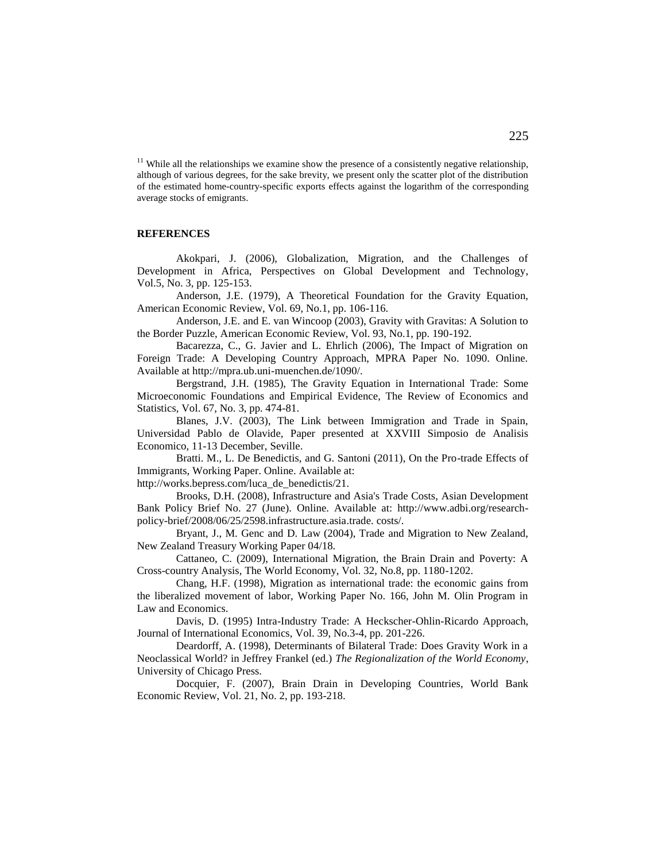$<sup>11</sup>$  While all the relationships we examine show the presence of a consistently negative relationship,</sup> although of various degrees, for the sake brevity, we present only the scatter plot of the distribution of the estimated home-country-specific exports effects against the logarithm of the corresponding average stocks of emigrants.

#### **REFERENCES**

Akokpari, J. (2006), Globalization, Migration, and the Challenges of Development in Africa, Perspectives on Global Development and Technology, Vol.5, No. 3, pp. 125-153.

Anderson, J.E. (1979), A Theoretical Foundation for the Gravity Equation, American Economic Review, Vol. 69, No.1, pp. 106-116.

Anderson, J.E. and E. van Wincoop (2003), Gravity with Gravitas: A Solution to the Border Puzzle, American Economic Review, Vol. 93, No.1, pp. 190-192.

Bacarezza, C., G. Javier and L. Ehrlich (2006), The Impact of Migration on Foreign Trade: A Developing Country Approach, MPRA Paper No. 1090. Online. Available at http://mpra.ub.uni-muenchen.de/1090/.

Bergstrand, J.H. (1985), The Gravity Equation in International Trade: Some Microeconomic Foundations and Empirical Evidence, The Review of Economics and Statistics, Vol. 67, No. 3, pp. 474-81.

Blanes, J.V. (2003), The Link between Immigration and Trade in Spain, Universidad Pablo de Olavide, Paper presented at XXVIII Simposio de Analisis Economico, 11-13 December, Seville.

Bratti. M., L. De Benedictis, and G. Santoni (2011), On the Pro-trade Effects of Immigrants, Working Paper. Online. Available at:

http://works.bepress.com/luca\_de\_benedictis/21.

Brooks, D.H. (2008), Infrastructure and Asia's Trade Costs, Asian Development Bank Policy Brief No. 27 (June). Online. Available at: http://www.adbi.org/researchpolicy-brief/2008/06/25/2598.infrastructure.asia.trade. costs/.

Bryant, J., M. Genc and D. Law (2004), Trade and Migration to New Zealand, New Zealand Treasury Working Paper 04/18.

Cattaneo, C. (2009), International Migration, the Brain Drain and Poverty: A Cross-country Analysis, The World Economy, Vol. 32, No.8, pp. 1180-1202.

Chang, H.F. (1998), Migration as international trade: the economic gains from the liberalized movement of labor, Working Paper No. 166, John M. Olin Program in Law and Economics.

Davis, D. (1995) Intra-Industry Trade: A Heckscher-Ohlin-Ricardo Approach, Journal of International Economics, Vol. 39, No.3-4, pp. 201-226.

Deardorff, A. (1998), Determinants of Bilateral Trade: Does Gravity Work in a Neoclassical World? in Jeffrey Frankel (ed.) *The Regionalization of the World Economy*, University of Chicago Press.

Docquier, F. (2007), Brain Drain in Developing Countries, World Bank Economic Review, Vol. 21, No. 2, pp. 193-218.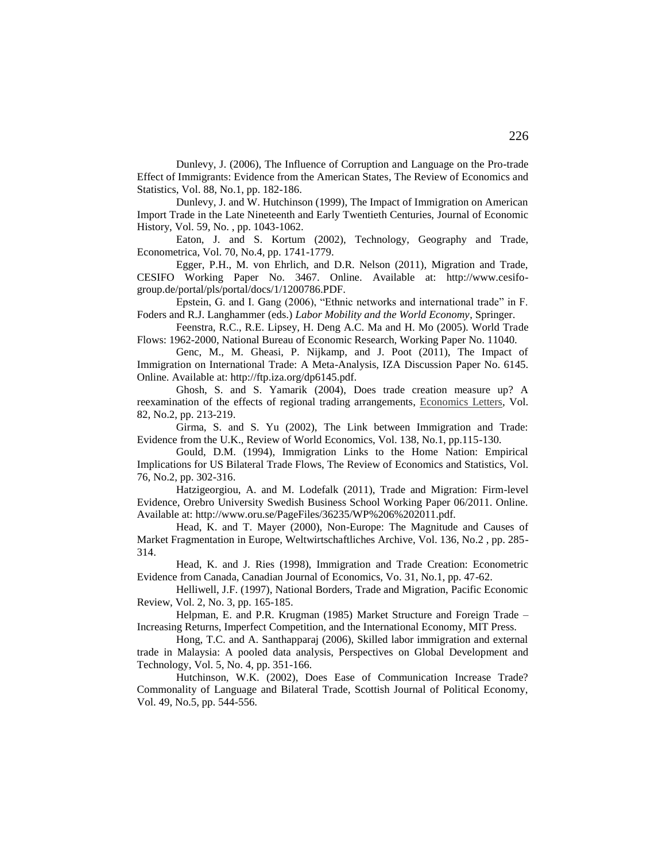Dunlevy, J. (2006), The Influence of Corruption and Language on the Pro-trade Effect of Immigrants: Evidence from the American States, The Review of Economics and Statistics, Vol. 88, No.1, pp. 182-186.

Dunlevy, J. and W. Hutchinson (1999), The Impact of Immigration on American Import Trade in the Late Nineteenth and Early Twentieth Centuries, Journal of Economic History, Vol. 59, No. , pp. 1043-1062.

Eaton, J. and S. Kortum (2002), Technology, Geography and Trade, Econometrica, Vol. 70, No.4, pp. 1741-1779.

Egger, P.H., M. von Ehrlich, and D.R. Nelson (2011), Migration and Trade, CESIFO Working Paper No. 3467. Online. Available at: http://www.cesifogroup.de/portal/pls/portal/docs/1/1200786.PDF.

Epstein, G. and I. Gang (2006), "Ethnic networks and international trade" in F. Foders and R.J. Langhammer (eds.) *Labor Mobility and the World Economy*, Springer.

Feenstra, R.C., R.E. Lipsey, H. Deng A.C. Ma and H. Mo (2005). World Trade Flows: 1962-2000, National Bureau of Economic Research, Working Paper No. 11040.

Genc, M., M. Gheasi, P. Nijkamp, and J. Poot (2011), The Impact of Immigration on International Trade: A Meta-Analysis, IZA Discussion Paper No. 6145. Online. Available at: http://ftp.iza.org/dp6145.pdf.

Ghosh, S. and S. Yamarik (2004), Does trade creation measure up? A reexamination of the effects of regional trading arrangements, [Economics Letters,](http://ideas.repec.org/s/eee/ecolet.html) Vol. 82, No.2, pp. 213-219.

Girma, S. and S. Yu (2002), The Link between Immigration and Trade: Evidence from the U.K., Review of World Economics, Vol. 138, No.1, pp.115-130.

Gould, D.M. (1994), Immigration Links to the Home Nation: Empirical Implications for US Bilateral Trade Flows, The Review of Economics and Statistics, Vol. 76, No.2, pp. 302-316.

Hatzigeorgiou, A. and M. Lodefalk (2011), Trade and Migration: Firm-level Evidence, Orebro University Swedish Business School Working Paper 06/2011. Online. Available at: http://www.oru.se/PageFiles/36235/WP%206%202011.pdf.

Head, K. and T. Mayer (2000), Non-Europe: The Magnitude and Causes of Market Fragmentation in Europe, Weltwirtschaftliches Archive, Vol. 136, No.2 , pp. 285- 314.

Head, K. and J. Ries (1998), Immigration and Trade Creation: Econometric Evidence from Canada, Canadian Journal of Economics, Vo. 31, No.1, pp. 47-62.

Helliwell, J.F. (1997), National Borders, Trade and Migration, Pacific Economic Review, Vol. 2, No. 3, pp. 165-185.

Helpman, E. and P.R. Krugman (1985) Market Structure and Foreign Trade – Increasing Returns, Imperfect Competition, and the International Economy, MIT Press.

Hong, T.C. and A. Santhapparaj (2006), Skilled labor immigration and external trade in Malaysia: A pooled data analysis, Perspectives on Global Development and Technology, Vol. 5, No. 4, pp. 351-166.

Hutchinson, W.K. (2002), Does Ease of Communication Increase Trade? Commonality of Language and Bilateral Trade, Scottish Journal of Political Economy, Vol. 49, No.5, pp. 544-556.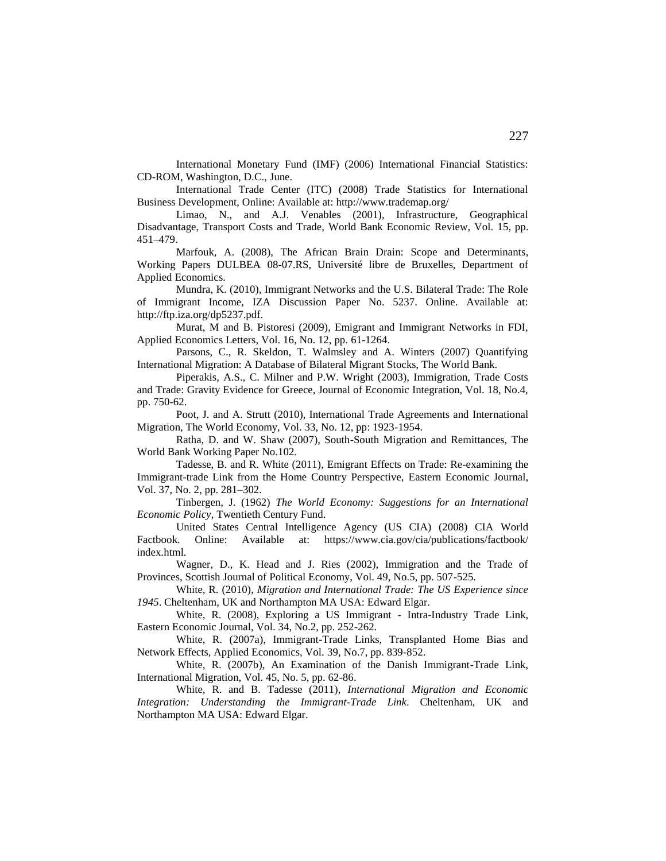International Monetary Fund (IMF) (2006) International Financial Statistics: CD-ROM, Washington, D.C., June.

International Trade Center (ITC) (2008) Trade Statistics for International Business Development, Online: Available at: http://www.trademap.org/

Limao, N., and A.J. Venables (2001), Infrastructure, Geographical Disadvantage, Transport Costs and Trade, World Bank Economic Review, Vol. 15, pp. 451–479.

Marfouk, A. (2008), The African Brain Drain: Scope and Determinants, Working Papers DULBEA 08-07.RS, Université libre de Bruxelles, Department of Applied Economics.

Mundra, K. (2010), Immigrant Networks and the U.S. Bilateral Trade: The Role of Immigrant Income, IZA Discussion Paper No. 5237. Online. Available at: http://ftp.iza.org/dp5237.pdf.

Murat, M and B. Pistoresi (2009), Emigrant and Immigrant Networks in FDI, Applied Economics Letters, Vol. 16, No. 12, pp. 61-1264.

Parsons, C., R. Skeldon, T. Walmsley and A. Winters (2007) Quantifying International Migration: A Database of Bilateral Migrant Stocks, The World Bank.

Piperakis, A.S., C. Milner and P.W. Wright (2003), Immigration, Trade Costs and Trade: Gravity Evidence for Greece, Journal of Economic Integration, Vol. 18, No.4, pp. 750-62.

Poot, J. and A. Strutt (2010), International Trade Agreements and International Migration, The World Economy, Vol. 33, No. 12, pp: 1923-1954.

Ratha, D. and W. Shaw (2007), South-South Migration and Remittances, The World Bank Working Paper No.102.

Tadesse, B. and R. White (2011), Emigrant Effects on Trade: Re-examining the Immigrant-trade Link from the Home Country Perspective, Eastern Economic Journal, Vol. 37, No. 2, pp. 281–302.

Tinbergen, J. (1962) *The World Economy: Suggestions for an International Economic Policy*, Twentieth Century Fund.

United States Central Intelligence Agency (US CIA) (2008) CIA World Factbook. Online: Available at: https://www.cia.gov/cia/publications/factbook/ index.html.

Wagner, D., K. Head and J. Ries (2002), Immigration and the Trade of Provinces, Scottish Journal of Political Economy, Vol. 49, No.5, pp. 507-525.

White, R. (2010), *Migration and International Trade: The US Experience since 1945*. Cheltenham, UK and Northampton MA USA: Edward Elgar.

White, R. (2008), Exploring a US Immigrant - Intra-Industry Trade Link, Eastern Economic Journal, Vol. 34, No.2, pp. 252-262.

White, R. (2007a), Immigrant-Trade Links, Transplanted Home Bias and Network Effects, Applied Economics, Vol. 39, No.7, pp. 839-852.

White, R. (2007b), An Examination of the Danish Immigrant-Trade Link, International Migration, Vol. 45, No. 5, pp. 62-86.

White, R. and B. Tadesse (2011), *International Migration and Economic Integration: Understanding the Immigrant-Trade Link*. Cheltenham, UK and Northampton MA USA: Edward Elgar.